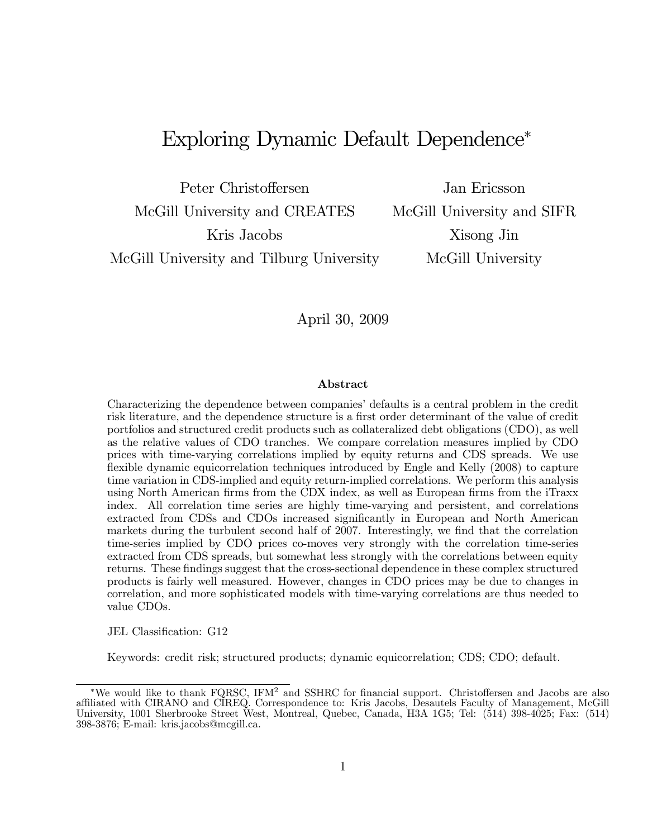# Exploring Dynamic Default Dependence<sup>∗</sup>

Peter Christoffersen Jan Ericsson McGill University and CREATES McGill University and SIFR Kris Jacobs Xisong Jin McGill University and Tilburg University McGill University

April 30, 2009

#### Abstract

Characterizing the dependence between companies' defaults is a central problem in the credit risk literature, and the dependence structure is a first order determinant of the value of credit portfolios and structured credit products such as collateralized debt obligations (CDO), as well as the relative values of CDO tranches. We compare correlation measures implied by CDO prices with time-varying correlations implied by equity returns and CDS spreads. We use flexible dynamic equicorrelation techniques introduced by Engle and Kelly (2008) to capture time variation in CDS-implied and equity return-implied correlations. We perform this analysis using North American firms from the CDX index, as well as European firms from the iTraxx index. All correlation time series are highly time-varying and persistent, and correlations extracted from CDSs and CDOs increased significantly in European and North American markets during the turbulent second half of 2007. Interestingly, we find that the correlation time-series implied by CDO prices co-moves very strongly with the correlation time-series extracted from CDS spreads, but somewhat less strongly with the correlations between equity returns. These findings suggest that the cross-sectional dependence in these complex structured products is fairly well measured. However, changes in CDO prices may be due to changes in correlation, and more sophisticated models with time-varying correlations are thus needed to value CDOs.

JEL Classification: G12

Keywords: credit risk; structured products; dynamic equicorrelation; CDS; CDO; default.

<sup>∗</sup>We would like to thank FQRSC, IFM<sup>2</sup> and SSHRC for financial support. Christoffersen and Jacobs are also affiliated with CIRANO and CIREQ. Correspondence to: Kris Jacobs, Desautels Faculty of Management, McGill University, 1001 Sherbrooke Street West, Montreal, Quebec, Canada, H3A 1G5; Tel: (514) 398-4025; Fax: (514) 398-3876; E-mail: kris.jacobs@mcgill.ca.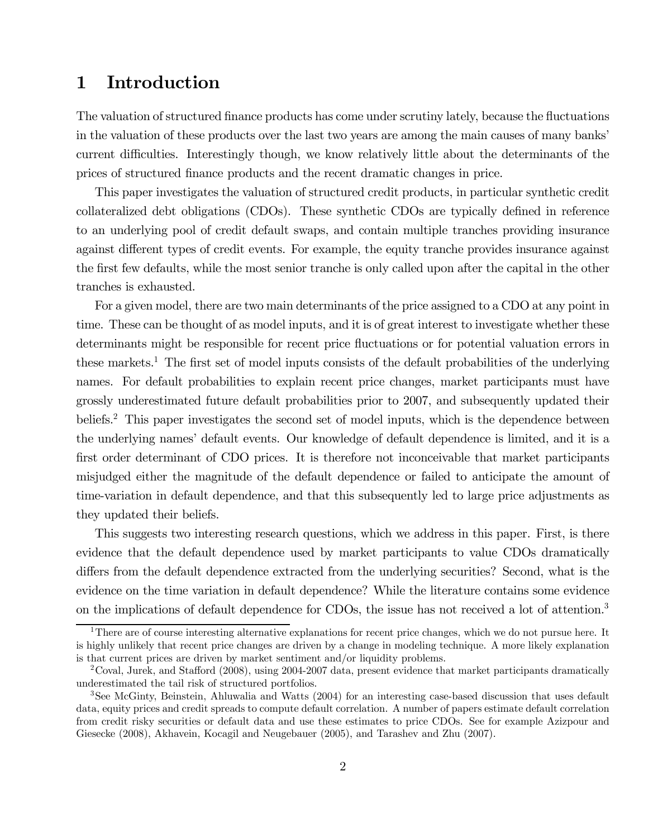# 1 Introduction

The valuation of structured finance products has come under scrutiny lately, because the fluctuations in the valuation of these products over the last two years are among the main causes of many banks' current difficulties. Interestingly though, we know relatively little about the determinants of the prices of structured finance products and the recent dramatic changes in price.

This paper investigates the valuation of structured credit products, in particular synthetic credit collateralized debt obligations (CDOs). These synthetic CDOs are typically defined in reference to an underlying pool of credit default swaps, and contain multiple tranches providing insurance against different types of credit events. For example, the equity tranche provides insurance against the first few defaults, while the most senior tranche is only called upon after the capital in the other tranches is exhausted.

For a given model, there are two main determinants of the price assigned to a CDO at any point in time. These can be thought of as model inputs, and it is of great interest to investigate whether these determinants might be responsible for recent price fluctuations or for potential valuation errors in these markets.<sup>1</sup> The first set of model inputs consists of the default probabilities of the underlying names. For default probabilities to explain recent price changes, market participants must have grossly underestimated future default probabilities prior to 2007, and subsequently updated their beliefs.<sup>2</sup> This paper investigates the second set of model inputs, which is the dependence between the underlying names' default events. Our knowledge of default dependence is limited, and it is a first order determinant of CDO prices. It is therefore not inconceivable that market participants misjudged either the magnitude of the default dependence or failed to anticipate the amount of time-variation in default dependence, and that this subsequently led to large price adjustments as they updated their beliefs.

This suggests two interesting research questions, which we address in this paper. First, is there evidence that the default dependence used by market participants to value CDOs dramatically differs from the default dependence extracted from the underlying securities? Second, what is the evidence on the time variation in default dependence? While the literature contains some evidence on the implications of default dependence for CDOs, the issue has not received a lot of attention.3

<sup>&</sup>lt;sup>1</sup>There are of course interesting alternative explanations for recent price changes, which we do not pursue here. It is highly unlikely that recent price changes are driven by a change in modeling technique. A more likely explanation is that current prices are driven by market sentiment and/or liquidity problems.

<sup>2</sup>Coval, Jurek, and Stafford (2008), using 2004-2007 data, present evidence that market participants dramatically underestimated the tail risk of structured portfolios.

<sup>3</sup>See McGinty, Beinstein, Ahluwalia and Watts (2004) for an interesting case-based discussion that uses default data, equity prices and credit spreads to compute default correlation. A number of papers estimate default correlation from credit risky securities or default data and use these estimates to price CDOs. See for example Azizpour and Giesecke (2008), Akhavein, Kocagil and Neugebauer (2005), and Tarashev and Zhu (2007).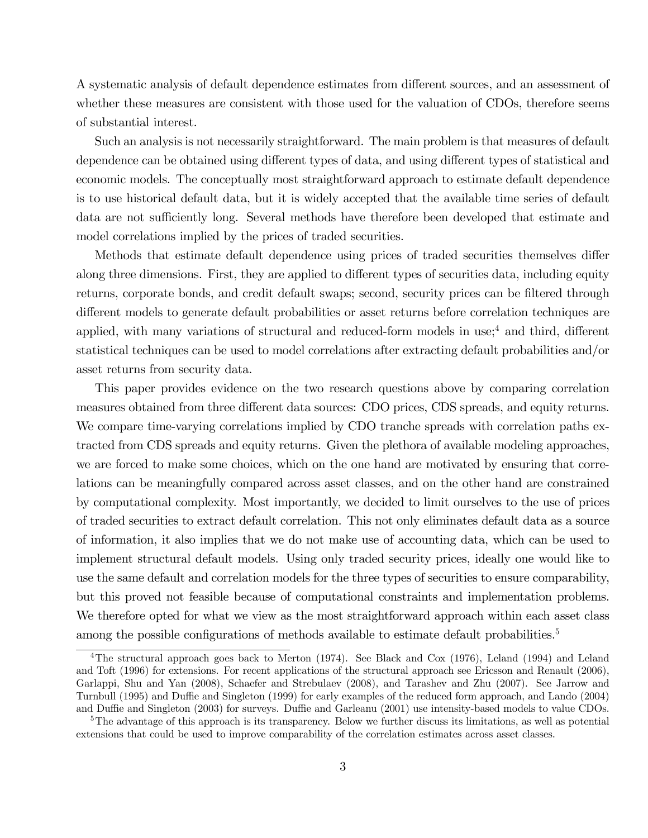A systematic analysis of default dependence estimates from different sources, and an assessment of whether these measures are consistent with those used for the valuation of CDOs, therefore seems of substantial interest.

Such an analysis is not necessarily straightforward. The main problem is that measures of default dependence can be obtained using different types of data, and using different types of statistical and economic models. The conceptually most straightforward approach to estimate default dependence is to use historical default data, but it is widely accepted that the available time series of default data are not sufficiently long. Several methods have therefore been developed that estimate and model correlations implied by the prices of traded securities.

Methods that estimate default dependence using prices of traded securities themselves differ along three dimensions. First, they are applied to different types of securities data, including equity returns, corporate bonds, and credit default swaps; second, security prices can be filtered through different models to generate default probabilities or asset returns before correlation techniques are applied, with many variations of structural and reduced-form models in use;<sup>4</sup> and third, different statistical techniques can be used to model correlations after extracting default probabilities and/or asset returns from security data.

This paper provides evidence on the two research questions above by comparing correlation measures obtained from three different data sources: CDO prices, CDS spreads, and equity returns. We compare time-varying correlations implied by CDO tranche spreads with correlation paths extracted from CDS spreads and equity returns. Given the plethora of available modeling approaches, we are forced to make some choices, which on the one hand are motivated by ensuring that correlations can be meaningfully compared across asset classes, and on the other hand are constrained by computational complexity. Most importantly, we decided to limit ourselves to the use of prices of traded securities to extract default correlation. This not only eliminates default data as a source of information, it also implies that we do not make use of accounting data, which can be used to implement structural default models. Using only traded security prices, ideally one would like to use the same default and correlation models for the three types of securities to ensure comparability, but this proved not feasible because of computational constraints and implementation problems. We therefore opted for what we view as the most straightforward approach within each asset class among the possible configurations of methods available to estimate default probabilities.<sup>5</sup>

<sup>&</sup>lt;sup>4</sup>The structural approach goes back to Merton (1974). See Black and Cox (1976), Leland (1994) and Leland and Toft (1996) for extensions. For recent applications of the structural approach see Ericsson and Renault (2006), Garlappi, Shu and Yan (2008), Schaefer and Strebulaev (2008), and Tarashev and Zhu (2007). See Jarrow and Turnbull (1995) and Duffie and Singleton (1999) for early examples of the reduced form approach, and Lando (2004) and Duffie and Singleton (2003) for surveys. Duffie and Garleanu (2001) use intensity-based models to value CDOs.

 $5$ The advantage of this approach is its transparency. Below we further discuss its limitations, as well as potential extensions that could be used to improve comparability of the correlation estimates across asset classes.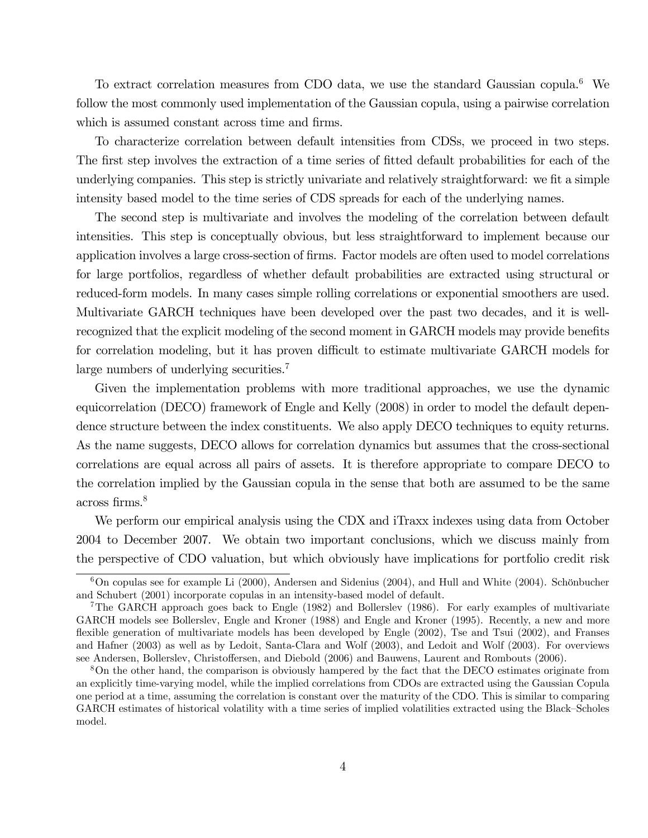To extract correlation measures from CDO data, we use the standard Gaussian copula.<sup>6</sup> We follow the most commonly used implementation of the Gaussian copula, using a pairwise correlation which is assumed constant across time and firms.

To characterize correlation between default intensities from CDSs, we proceed in two steps. The first step involves the extraction of a time series of fitted default probabilities for each of the underlying companies. This step is strictly univariate and relatively straightforward: we fit a simple intensity based model to the time series of CDS spreads for each of the underlying names.

The second step is multivariate and involves the modeling of the correlation between default intensities. This step is conceptually obvious, but less straightforward to implement because our application involves a large cross-section of firms. Factor models are often used to model correlations for large portfolios, regardless of whether default probabilities are extracted using structural or reduced-form models. In many cases simple rolling correlations or exponential smoothers are used. Multivariate GARCH techniques have been developed over the past two decades, and it is wellrecognized that the explicit modeling of the second moment in GARCH models may provide benefits for correlation modeling, but it has proven difficult to estimate multivariate GARCH models for large numbers of underlying securities.7

Given the implementation problems with more traditional approaches, we use the dynamic equicorrelation (DECO) framework of Engle and Kelly (2008) in order to model the default dependence structure between the index constituents. We also apply DECO techniques to equity returns. As the name suggests, DECO allows for correlation dynamics but assumes that the cross-sectional correlations are equal across all pairs of assets. It is therefore appropriate to compare DECO to the correlation implied by the Gaussian copula in the sense that both are assumed to be the same across firms.8

We perform our empirical analysis using the CDX and iTraxx indexes using data from October 2004 to December 2007. We obtain two important conclusions, which we discuss mainly from the perspective of CDO valuation, but which obviously have implications for portfolio credit risk

 $6$ On copulas see for example Li (2000), Andersen and Sidenius (2004), and Hull and White (2004). Schönbucher and Schubert (2001) incorporate copulas in an intensity-based model of default.

<sup>&</sup>lt;sup>7</sup>The GARCH approach goes back to Engle (1982) and Bollerslev (1986). For early examples of multivariate GARCH models see Bollerslev, Engle and Kroner (1988) and Engle and Kroner (1995). Recently, a new and more flexible generation of multivariate models has been developed by Engle (2002), Tse and Tsui (2002), and Franses and Hafner (2003) as well as by Ledoit, Santa-Clara and Wolf (2003), and Ledoit and Wolf (2003). For overviews see Andersen, Bollerslev, Christoffersen, and Diebold (2006) and Bauwens, Laurent and Rombouts (2006).

<sup>8</sup>On the other hand, the comparison is obviously hampered by the fact that the DECO estimates originate from an explicitly time-varying model, while the implied correlations from CDOs are extracted using the Gaussian Copula one period at a time, assuming the correlation is constant over the maturity of the CDO. This is similar to comparing GARCH estimates of historical volatility with a time series of implied volatilities extracted using the Black—Scholes model.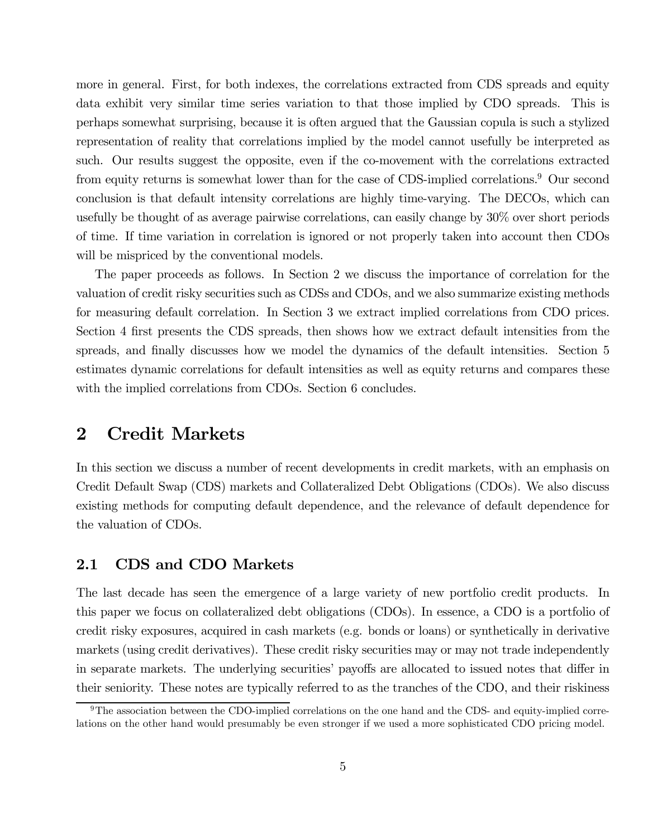more in general. First, for both indexes, the correlations extracted from CDS spreads and equity data exhibit very similar time series variation to that those implied by CDO spreads. This is perhaps somewhat surprising, because it is often argued that the Gaussian copula is such a stylized representation of reality that correlations implied by the model cannot usefully be interpreted as such. Our results suggest the opposite, even if the co-movement with the correlations extracted from equity returns is somewhat lower than for the case of CDS-implied correlations.<sup>9</sup> Our second conclusion is that default intensity correlations are highly time-varying. The DECOs, which can usefully be thought of as average pairwise correlations, can easily change by 30% over short periods of time. If time variation in correlation is ignored or not properly taken into account then CDOs will be mispriced by the conventional models.

The paper proceeds as follows. In Section 2 we discuss the importance of correlation for the valuation of credit risky securities such as CDSs and CDOs, and we also summarize existing methods for measuring default correlation. In Section 3 we extract implied correlations from CDO prices. Section 4 first presents the CDS spreads, then shows how we extract default intensities from the spreads, and finally discusses how we model the dynamics of the default intensities. Section 5 estimates dynamic correlations for default intensities as well as equity returns and compares these with the implied correlations from CDOs. Section 6 concludes.

# 2 Credit Markets

In this section we discuss a number of recent developments in credit markets, with an emphasis on Credit Default Swap (CDS) markets and Collateralized Debt Obligations (CDOs). We also discuss existing methods for computing default dependence, and the relevance of default dependence for the valuation of CDOs.

### 2.1 CDS and CDO Markets

The last decade has seen the emergence of a large variety of new portfolio credit products. In this paper we focus on collateralized debt obligations (CDOs). In essence, a CDO is a portfolio of credit risky exposures, acquired in cash markets (e.g. bonds or loans) or synthetically in derivative markets (using credit derivatives). These credit risky securities may or may not trade independently in separate markets. The underlying securities' payoffs are allocated to issued notes that differ in their seniority. These notes are typically referred to as the tranches of the CDO, and their riskiness

 $9$ The association between the CDO-implied correlations on the one hand and the CDS- and equity-implied correlations on the other hand would presumably be even stronger if we used a more sophisticated CDO pricing model.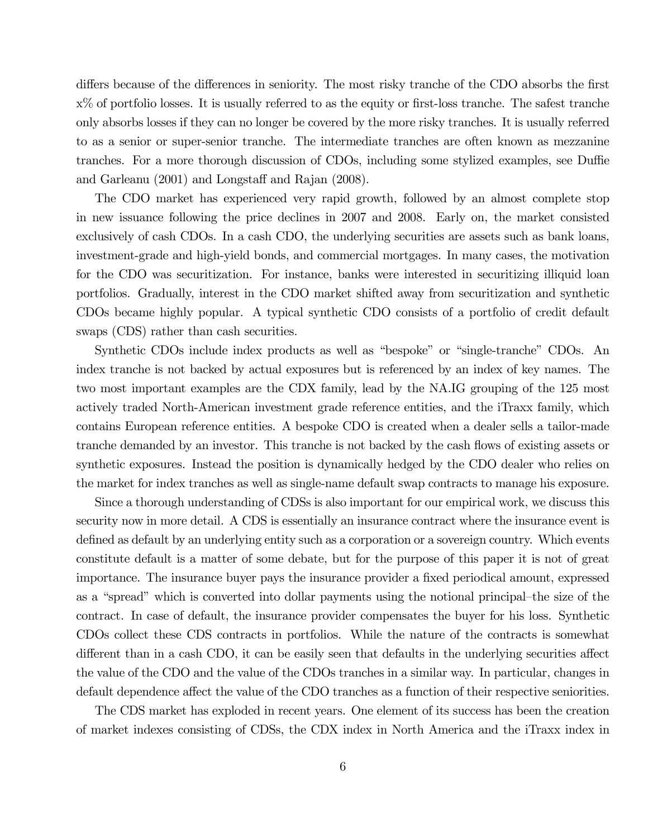differs because of the differences in seniority. The most risky tranche of the CDO absorbs the first x% of portfolio losses. It is usually referred to as the equity or first-loss tranche. The safest tranche only absorbs losses if they can no longer be covered by the more risky tranches. It is usually referred to as a senior or super-senior tranche. The intermediate tranches are often known as mezzanine tranches. For a more thorough discussion of CDOs, including some stylized examples, see Duffie and Garleanu (2001) and Longstaff and Rajan (2008).

The CDO market has experienced very rapid growth, followed by an almost complete stop in new issuance following the price declines in 2007 and 2008. Early on, the market consisted exclusively of cash CDOs. In a cash CDO, the underlying securities are assets such as bank loans, investment-grade and high-yield bonds, and commercial mortgages. In many cases, the motivation for the CDO was securitization. For instance, banks were interested in securitizing illiquid loan portfolios. Gradually, interest in the CDO market shifted away from securitization and synthetic CDOs became highly popular. A typical synthetic CDO consists of a portfolio of credit default swaps (CDS) rather than cash securities.

Synthetic CDOs include index products as well as "bespoke" or "single-tranche" CDOs. An index tranche is not backed by actual exposures but is referenced by an index of key names. The two most important examples are the CDX family, lead by the NA.IG grouping of the 125 most actively traded North-American investment grade reference entities, and the iTraxx family, which contains European reference entities. A bespoke CDO is created when a dealer sells a tailor-made tranche demanded by an investor. This tranche is not backed by the cash flows of existing assets or synthetic exposures. Instead the position is dynamically hedged by the CDO dealer who relies on the market for index tranches as well as single-name default swap contracts to manage his exposure.

Since a thorough understanding of CDSs is also important for our empirical work, we discuss this security now in more detail. A CDS is essentially an insurance contract where the insurance event is defined as default by an underlying entity such as a corporation or a sovereign country. Which events constitute default is a matter of some debate, but for the purpose of this paper it is not of great importance. The insurance buyer pays the insurance provider a fixed periodical amount, expressed as a "spread" which is converted into dollar payments using the notional principal—the size of the contract. In case of default, the insurance provider compensates the buyer for his loss. Synthetic CDOs collect these CDS contracts in portfolios. While the nature of the contracts is somewhat different than in a cash CDO, it can be easily seen that defaults in the underlying securities affect the value of the CDO and the value of the CDOs tranches in a similar way. In particular, changes in default dependence affect the value of the CDO tranches as a function of their respective seniorities.

The CDS market has exploded in recent years. One element of its success has been the creation of market indexes consisting of CDSs, the CDX index in North America and the iTraxx index in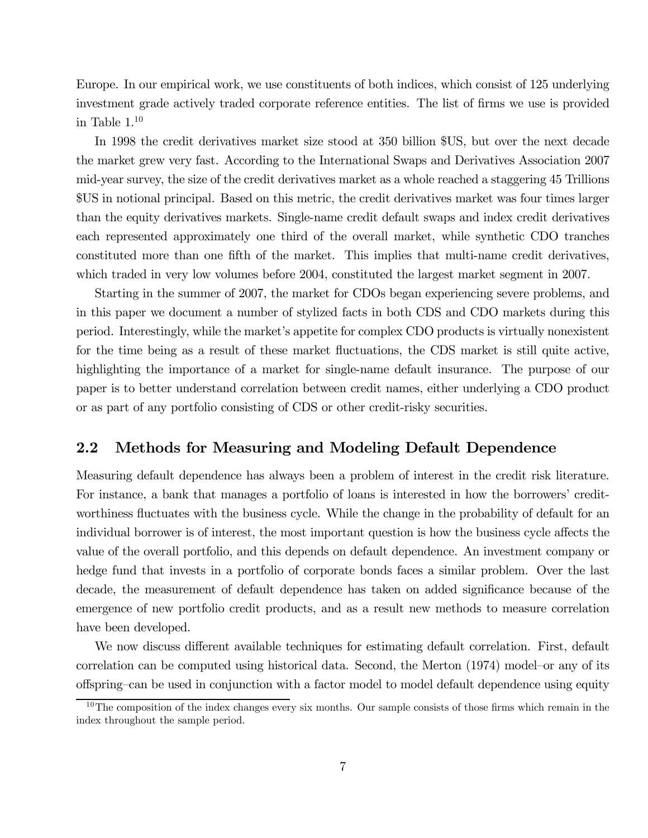Europe. In our empirical work, we use constituents of both indices, which consist of 125 underlying investment grade actively traded corporate reference entities. The list of firms we use is provided in Table  $1.^{10}$ 

In 1998 the credit derivatives market size stood at 350 billion \$US, but over the next decade the market grew very fast. According to the International Swaps and Derivatives Association 2007 mid-year survey, the size of the credit derivatives market as a whole reached a staggering 45 Trillions \$US in notional principal. Based on this metric, the credit derivatives market was four times larger than the equity derivatives markets. Single-name credit default swaps and index credit derivatives each represented approximately one third of the overall market, while synthetic CDO tranches constituted more than one fifth of the market. This implies that multi-name credit derivatives, which traded in very low volumes before 2004, constituted the largest market segment in 2007.

Starting in the summer of 2007, the market for CDOs began experiencing severe problems, and in this paper we document a number of stylized facts in both CDS and CDO markets during this period. Interestingly, while the market's appetite for complex CDO products is virtually nonexistent for the time being as a result of these market fluctuations, the CDS market is still quite active, highlighting the importance of a market for single-name default insurance. The purpose of our paper is to better understand correlation between credit names, either underlying a CDO product or as part of any portfolio consisting of CDS or other credit-risky securities.

### 2.2 Methods for Measuring and Modeling Default Dependence

Measuring default dependence has always been a problem of interest in the credit risk literature. For instance, a bank that manages a portfolio of loans is interested in how the borrowers' creditworthiness fluctuates with the business cycle. While the change in the probability of default for an individual borrower is of interest, the most important question is how the business cycle affects the value of the overall portfolio, and this depends on default dependence. An investment company or hedge fund that invests in a portfolio of corporate bonds faces a similar problem. Over the last decade, the measurement of default dependence has taken on added significance because of the emergence of new portfolio credit products, and as a result new methods to measure correlation have been developed.

We now discuss different available techniques for estimating default correlation. First, default correlation can be computed using historical data. Second, the Merton (1974) model—or any of its offspring—can be used in conjunction with a factor model to model default dependence using equity

 $10$ The composition of the index changes every six months. Our sample consists of those firms which remain in the index throughout the sample period.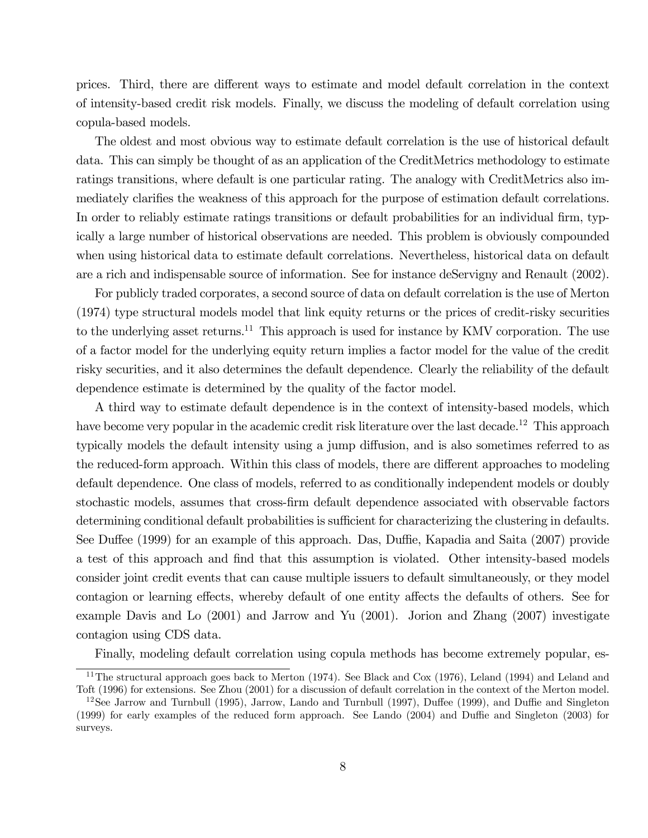prices. Third, there are different ways to estimate and model default correlation in the context of intensity-based credit risk models. Finally, we discuss the modeling of default correlation using copula-based models.

The oldest and most obvious way to estimate default correlation is the use of historical default data. This can simply be thought of as an application of the CreditMetrics methodology to estimate ratings transitions, where default is one particular rating. The analogy with CreditMetrics also immediately clarifies the weakness of this approach for the purpose of estimation default correlations. In order to reliably estimate ratings transitions or default probabilities for an individual firm, typically a large number of historical observations are needed. This problem is obviously compounded when using historical data to estimate default correlations. Nevertheless, historical data on default are a rich and indispensable source of information. See for instance deServigny and Renault (2002).

For publicly traded corporates, a second source of data on default correlation is the use of Merton (1974) type structural models model that link equity returns or the prices of credit-risky securities to the underlying asset returns.<sup>11</sup> This approach is used for instance by KMV corporation. The use of a factor model for the underlying equity return implies a factor model for the value of the credit risky securities, and it also determines the default dependence. Clearly the reliability of the default dependence estimate is determined by the quality of the factor model.

A third way to estimate default dependence is in the context of intensity-based models, which have become very popular in the academic credit risk literature over the last decade.<sup>12</sup> This approach typically models the default intensity using a jump diffusion, and is also sometimes referred to as the reduced-form approach. Within this class of models, there are different approaches to modeling default dependence. One class of models, referred to as conditionally independent models or doubly stochastic models, assumes that cross-firm default dependence associated with observable factors determining conditional default probabilities is sufficient for characterizing the clustering in defaults. See Duffee (1999) for an example of this approach. Das, Duffie, Kapadia and Saita (2007) provide a test of this approach and find that this assumption is violated. Other intensity-based models consider joint credit events that can cause multiple issuers to default simultaneously, or they model contagion or learning effects, whereby default of one entity affects the defaults of others. See for example Davis and Lo (2001) and Jarrow and Yu (2001). Jorion and Zhang (2007) investigate contagion using CDS data.

Finally, modeling default correlation using copula methods has become extremely popular, es-

<sup>11</sup>The structural approach goes back to Merton (1974). See Black and Cox (1976), Leland (1994) and Leland and Toft (1996) for extensions. See Zhou (2001) for a discussion of default correlation in the context of the Merton model.

<sup>&</sup>lt;sup>12</sup>See Jarrow and Turnbull (1995), Jarrow, Lando and Turnbull (1997), Duffee (1999), and Duffie and Singleton (1999) for early examples of the reduced form approach. See Lando (2004) and Duffie and Singleton (2003) for surveys.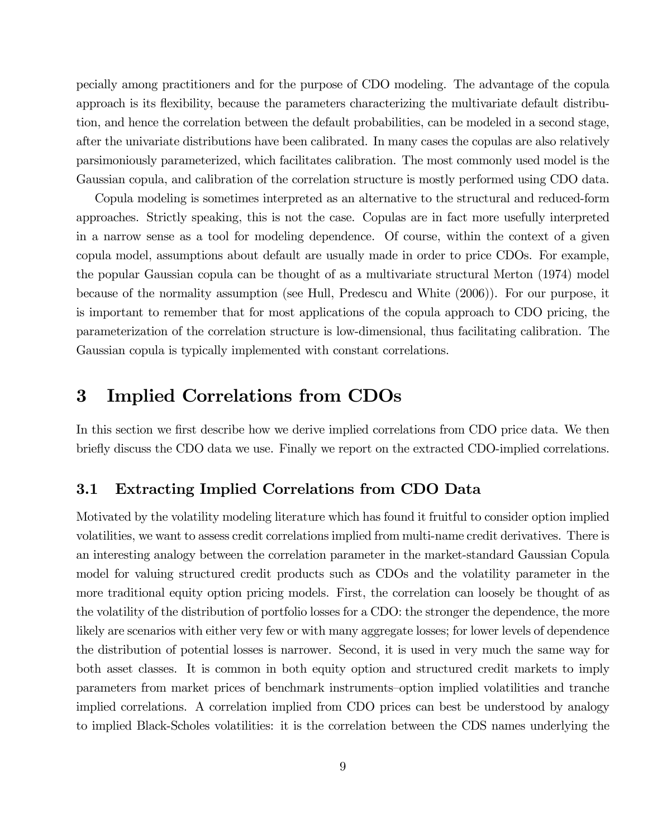pecially among practitioners and for the purpose of CDO modeling. The advantage of the copula approach is its flexibility, because the parameters characterizing the multivariate default distribution, and hence the correlation between the default probabilities, can be modeled in a second stage, after the univariate distributions have been calibrated. In many cases the copulas are also relatively parsimoniously parameterized, which facilitates calibration. The most commonly used model is the Gaussian copula, and calibration of the correlation structure is mostly performed using CDO data.

Copula modeling is sometimes interpreted as an alternative to the structural and reduced-form approaches. Strictly speaking, this is not the case. Copulas are in fact more usefully interpreted in a narrow sense as a tool for modeling dependence. Of course, within the context of a given copula model, assumptions about default are usually made in order to price CDOs. For example, the popular Gaussian copula can be thought of as a multivariate structural Merton (1974) model because of the normality assumption (see Hull, Predescu and White (2006)). For our purpose, it is important to remember that for most applications of the copula approach to CDO pricing, the parameterization of the correlation structure is low-dimensional, thus facilitating calibration. The Gaussian copula is typically implemented with constant correlations.

# 3 Implied Correlations from CDOs

In this section we first describe how we derive implied correlations from CDO price data. We then briefly discuss the CDO data we use. Finally we report on the extracted CDO-implied correlations.

### 3.1 Extracting Implied Correlations from CDO Data

Motivated by the volatility modeling literature which has found it fruitful to consider option implied volatilities, we want to assess credit correlations implied from multi-name credit derivatives. There is an interesting analogy between the correlation parameter in the market-standard Gaussian Copula model for valuing structured credit products such as CDOs and the volatility parameter in the more traditional equity option pricing models. First, the correlation can loosely be thought of as the volatility of the distribution of portfolio losses for a CDO: the stronger the dependence, the more likely are scenarios with either very few or with many aggregate losses; for lower levels of dependence the distribution of potential losses is narrower. Second, it is used in very much the same way for both asset classes. It is common in both equity option and structured credit markets to imply parameters from market prices of benchmark instruments—option implied volatilities and tranche implied correlations. A correlation implied from CDO prices can best be understood by analogy to implied Black-Scholes volatilities: it is the correlation between the CDS names underlying the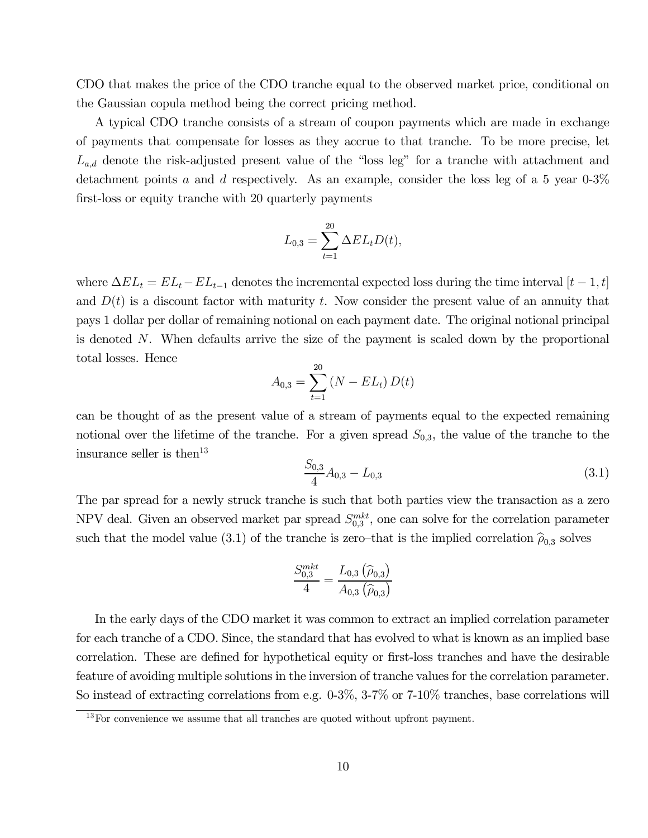CDO that makes the price of the CDO tranche equal to the observed market price, conditional on the Gaussian copula method being the correct pricing method.

A typical CDO tranche consists of a stream of coupon payments which are made in exchange of payments that compensate for losses as they accrue to that tranche. To be more precise, let  $L_{a,d}$  denote the risk-adjusted present value of the "loss leg" for a tranche with attachment and detachment points a and d respectively. As an example, consider the loss leg of a 5 year  $0.3\%$ first-loss or equity tranche with 20 quarterly payments

$$
L_{0,3} = \sum_{t=1}^{20} \Delta EL_t D(t),
$$

where  $\Delta EL_t = EL_t - EL_{t-1}$  denotes the incremental expected loss during the time interval  $[t-1, t]$ and  $D(t)$  is a discount factor with maturity t. Now consider the present value of an annuity that pays 1 dollar per dollar of remaining notional on each payment date. The original notional principal is denoted N. When defaults arrive the size of the payment is scaled down by the proportional total losses. Hence

$$
A_{0,3} = \sum_{t=1}^{20} (N - EL_t) D(t)
$$

can be thought of as the present value of a stream of payments equal to the expected remaining notional over the lifetime of the tranche. For a given spread  $S_{0,3}$ , the value of the tranche to the insurance seller is then<sup>13</sup>

$$
\frac{S_{0,3}}{4}A_{0,3} - L_{0,3} \tag{3.1}
$$

The par spread for a newly struck tranche is such that both parties view the transaction as a zero NPV deal. Given an observed market par spread  $S_{0,3}^{mkt}$ , one can solve for the correlation parameter such that the model value (3.1) of the tranche is zero–that is the implied correlation  $\hat{\rho}_{0,3}$  solves

$$
\frac{S_{0,3}^{mkt}}{4} = \frac{L_{0,3}(\widehat{\rho}_{0,3})}{A_{0,3}(\widehat{\rho}_{0,3})}
$$

In the early days of the CDO market it was common to extract an implied correlation parameter for each tranche of a CDO. Since, the standard that has evolved to what is known as an implied base correlation. These are defined for hypothetical equity or first-loss tranches and have the desirable feature of avoiding multiple solutions in the inversion of tranche values for the correlation parameter. So instead of extracting correlations from e.g. 0-3%, 3-7% or 7-10% tranches, base correlations will

 $13$  For convenience we assume that all tranches are quoted without upfront payment.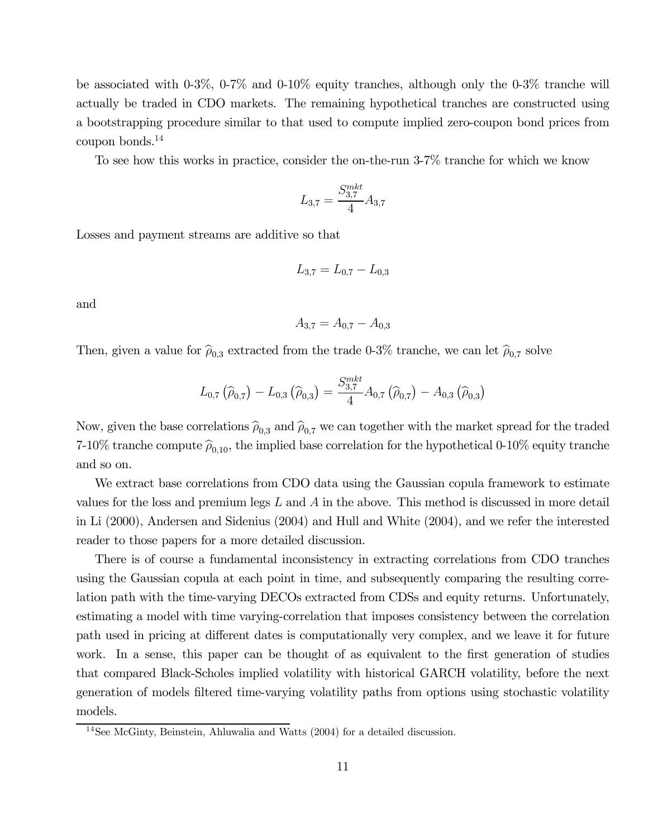be associated with 0-3%, 0-7% and 0-10% equity tranches, although only the 0-3% tranche will actually be traded in CDO markets. The remaining hypothetical tranches are constructed using a bootstrapping procedure similar to that used to compute implied zero-coupon bond prices from coupon bonds.14

To see how this works in practice, consider the on-the-run 3-7% tranche for which we know

$$
L_{3,7} = \frac{S_{3,7}^{mkt}}{4} A_{3,7}
$$

Losses and payment streams are additive so that

$$
L_{3,7} = L_{0,7} - L_{0,3}
$$

and

$$
A_{3,7} = A_{0,7} - A_{0,3}
$$

Then, given a value for  $\hat{\rho}_{0,3}$  extracted from the trade 0-3% tranche, we can let  $\hat{\rho}_{0,7}$  solve

$$
L_{0,7}(\widehat{\rho}_{0,7}) - L_{0,3}(\widehat{\rho}_{0,3}) = \frac{S_{3,7}^{mkt}}{4} A_{0,7}(\widehat{\rho}_{0,7}) - A_{0,3}(\widehat{\rho}_{0,3})
$$

Now, given the base correlations  $\hat{\rho}_{0,3}$  and  $\hat{\rho}_{0,7}$  we can together with the market spread for the traded 7-10% tranche compute  $\hat{\rho}_{0,10}$ , the implied base correlation for the hypothetical 0-10% equity tranche and so on.

We extract base correlations from CDO data using the Gaussian copula framework to estimate values for the loss and premium legs  $L$  and  $A$  in the above. This method is discussed in more detail in Li (2000), Andersen and Sidenius (2004) and Hull and White (2004), and we refer the interested reader to those papers for a more detailed discussion.

There is of course a fundamental inconsistency in extracting correlations from CDO tranches using the Gaussian copula at each point in time, and subsequently comparing the resulting correlation path with the time-varying DECOs extracted from CDSs and equity returns. Unfortunately, estimating a model with time varying-correlation that imposes consistency between the correlation path used in pricing at different dates is computationally very complex, and we leave it for future work. In a sense, this paper can be thought of as equivalent to the first generation of studies that compared Black-Scholes implied volatility with historical GARCH volatility, before the next generation of models filtered time-varying volatility paths from options using stochastic volatility models.

 $14$ See McGinty, Beinstein, Ahluwalia and Watts (2004) for a detailed discussion.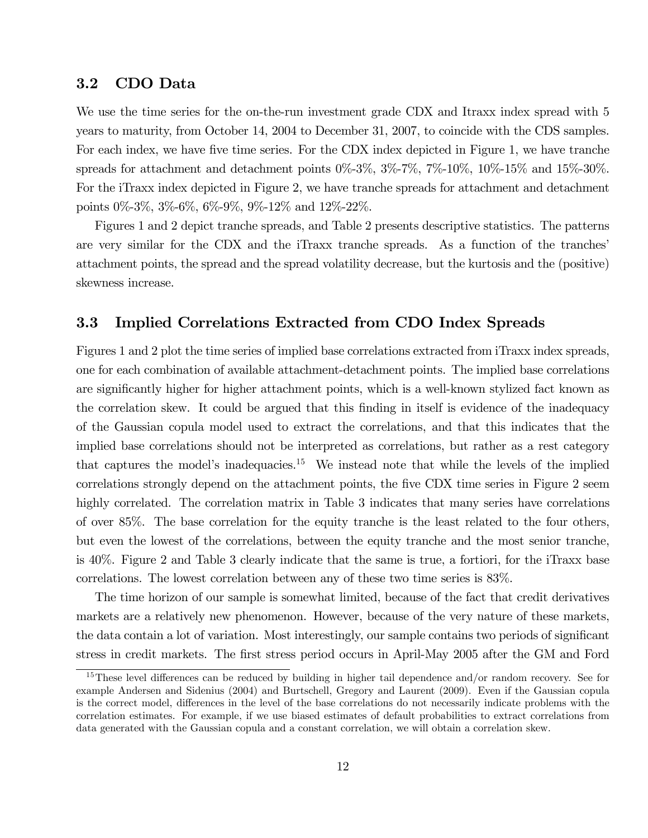### 3.2 CDO Data

We use the time series for the on-the-run investment grade CDX and Itraxx index spread with 5 years to maturity, from October 14, 2004 to December 31, 2007, to coincide with the CDS samples. For each index, we have five time series. For the CDX index depicted in Figure 1, we have tranche spreads for attachment and detachment points  $0\%$ -3%,  $3\%$ -7%,  $7\%$ -10%,  $10\%$ -15% and  $15\%$ -30%. For the iTraxx index depicted in Figure 2, we have tranche spreads for attachment and detachment points 0%-3%, 3%-6%, 6%-9%, 9%-12% and 12%-22%.

Figures 1 and 2 depict tranche spreads, and Table 2 presents descriptive statistics. The patterns are very similar for the CDX and the iTraxx tranche spreads. As a function of the tranches' attachment points, the spread and the spread volatility decrease, but the kurtosis and the (positive) skewness increase.

### 3.3 Implied Correlations Extracted from CDO Index Spreads

Figures 1 and 2 plot the time series of implied base correlations extracted from iTraxx index spreads, one for each combination of available attachment-detachment points. The implied base correlations are significantly higher for higher attachment points, which is a well-known stylized fact known as the correlation skew. It could be argued that this finding in itself is evidence of the inadequacy of the Gaussian copula model used to extract the correlations, and that this indicates that the implied base correlations should not be interpreted as correlations, but rather as a rest category that captures the model's inadequacies.<sup>15</sup> We instead note that while the levels of the implied correlations strongly depend on the attachment points, the five CDX time series in Figure 2 seem highly correlated. The correlation matrix in Table 3 indicates that many series have correlations of over 85%. The base correlation for the equity tranche is the least related to the four others, but even the lowest of the correlations, between the equity tranche and the most senior tranche, is 40%. Figure 2 and Table 3 clearly indicate that the same is true, a fortiori, for the iTraxx base correlations. The lowest correlation between any of these two time series is 83%.

The time horizon of our sample is somewhat limited, because of the fact that credit derivatives markets are a relatively new phenomenon. However, because of the very nature of these markets, the data contain a lot of variation. Most interestingly, our sample contains two periods of significant stress in credit markets. The first stress period occurs in April-May 2005 after the GM and Ford

<sup>15</sup>These level differences can be reduced by building in higher tail dependence and/or random recovery. See for example Andersen and Sidenius (2004) and Burtschell, Gregory and Laurent (2009). Even if the Gaussian copula is the correct model, differences in the level of the base correlations do not necessarily indicate problems with the correlation estimates. For example, if we use biased estimates of default probabilities to extract correlations from data generated with the Gaussian copula and a constant correlation, we will obtain a correlation skew.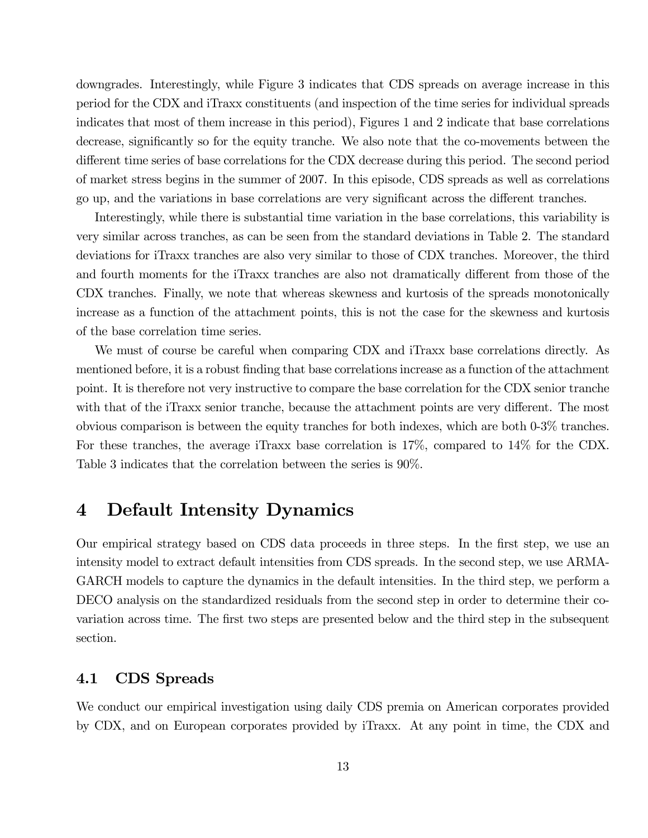downgrades. Interestingly, while Figure 3 indicates that CDS spreads on average increase in this period for the CDX and iTraxx constituents (and inspection of the time series for individual spreads indicates that most of them increase in this period), Figures 1 and 2 indicate that base correlations decrease, significantly so for the equity tranche. We also note that the co-movements between the different time series of base correlations for the CDX decrease during this period. The second period of market stress begins in the summer of 2007. In this episode, CDS spreads as well as correlations go up, and the variations in base correlations are very significant across the different tranches.

Interestingly, while there is substantial time variation in the base correlations, this variability is very similar across tranches, as can be seen from the standard deviations in Table 2. The standard deviations for iTraxx tranches are also very similar to those of CDX tranches. Moreover, the third and fourth moments for the iTraxx tranches are also not dramatically different from those of the CDX tranches. Finally, we note that whereas skewness and kurtosis of the spreads monotonically increase as a function of the attachment points, this is not the case for the skewness and kurtosis of the base correlation time series.

We must of course be careful when comparing CDX and iTraxx base correlations directly. As mentioned before, it is a robust finding that base correlations increase as a function of the attachment point. It is therefore not very instructive to compare the base correlation for the CDX senior tranche with that of the iTraxx senior tranche, because the attachment points are very different. The most obvious comparison is between the equity tranches for both indexes, which are both 0-3% tranches. For these tranches, the average iTraxx base correlation is 17%, compared to 14% for the CDX. Table 3 indicates that the correlation between the series is 90%.

# 4 Default Intensity Dynamics

Our empirical strategy based on CDS data proceeds in three steps. In the first step, we use an intensity model to extract default intensities from CDS spreads. In the second step, we use ARMA-GARCH models to capture the dynamics in the default intensities. In the third step, we perform a DECO analysis on the standardized residuals from the second step in order to determine their covariation across time. The first two steps are presented below and the third step in the subsequent section.

### 4.1 CDS Spreads

We conduct our empirical investigation using daily CDS premia on American corporates provided by CDX, and on European corporates provided by iTraxx. At any point in time, the CDX and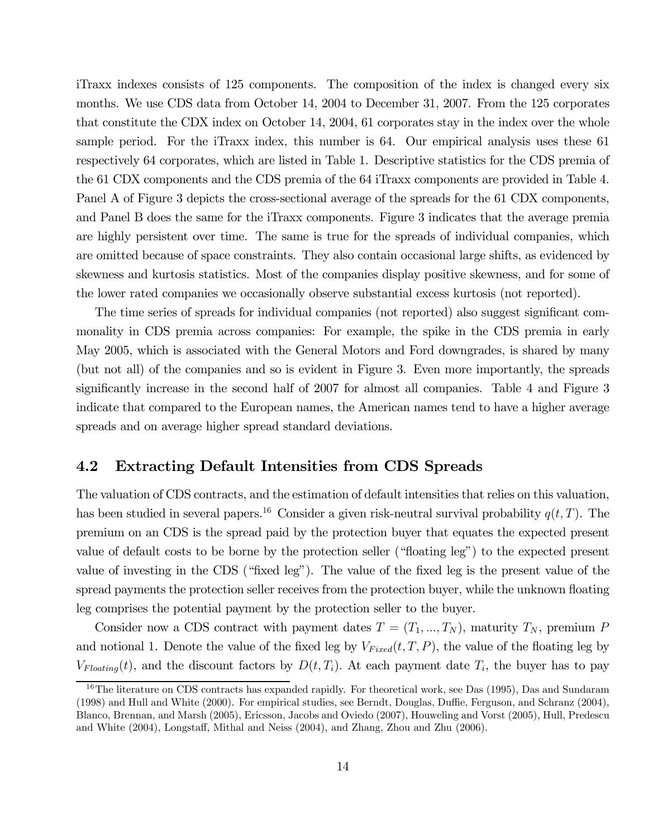iTraxx indexes consists of 125 components. The composition of the index is changed every six months. We use CDS data from October 14, 2004 to December 31, 2007. From the 125 corporates that constitute the CDX index on October 14, 2004, 61 corporates stay in the index over the whole sample period. For the iTraxx index, this number is 64. Our empirical analysis uses these 61 respectively 64 corporates, which are listed in Table 1. Descriptive statistics for the CDS premia of the 61 CDX components and the CDS premia of the 64 iTraxx components are provided in Table 4. Panel A of Figure 3 depicts the cross-sectional average of the spreads for the 61 CDX components, and Panel B does the same for the iTraxx components. Figure 3 indicates that the average premia are highly persistent over time. The same is true for the spreads of individual companies, which are omitted because of space constraints. They also contain occasional large shifts, as evidenced by skewness and kurtosis statistics. Most of the companies display positive skewness, and for some of the lower rated companies we occasionally observe substantial excess kurtosis (not reported).

The time series of spreads for individual companies (not reported) also suggest significant commonality in CDS premia across companies: For example, the spike in the CDS premia in early May 2005, which is associated with the General Motors and Ford downgrades, is shared by many (but not all) of the companies and so is evident in Figure 3. Even more importantly, the spreads significantly increase in the second half of 2007 for almost all companies. Table 4 and Figure 3 indicate that compared to the European names, the American names tend to have a higher average spreads and on average higher spread standard deviations.

### 4.2 Extracting Default Intensities from CDS Spreads

The valuation of CDS contracts, and the estimation of default intensities that relies on this valuation, has been studied in several papers.<sup>16</sup> Consider a given risk-neutral survival probability  $q(t, T)$ . The premium on an CDS is the spread paid by the protection buyer that equates the expected present value of default costs to be borne by the protection seller ("floating leg") to the expected present value of investing in the CDS ("fixed leg"). The value of the fixed leg is the present value of the spread payments the protection seller receives from the protection buyer, while the unknown floating leg comprises the potential payment by the protection seller to the buyer.

Consider now a CDS contract with payment dates  $T = (T_1, ..., T_N)$ , maturity  $T_N$ , premium P and notional 1. Denote the value of the fixed leg by  $V_{Fixed}(t, T, P)$ , the value of the floating leg by  $V_{Floating}(t)$ , and the discount factors by  $D(t, T_i)$ . At each payment date  $T_i$ , the buyer has to pay

<sup>&</sup>lt;sup>16</sup>The literature on CDS contracts has expanded rapidly. For theoretical work, see Das (1995), Das and Sundaram (1998) and Hull and White (2000). For empirical studies, see Berndt, Douglas, Duffie, Ferguson, and Schranz (2004), Blanco, Brennan, and Marsh (2005), Ericsson, Jacobs and Oviedo (2007), Houweling and Vorst (2005), Hull, Predescu and White (2004), Longstaff, Mithal and Neiss (2004), and Zhang, Zhou and Zhu (2006).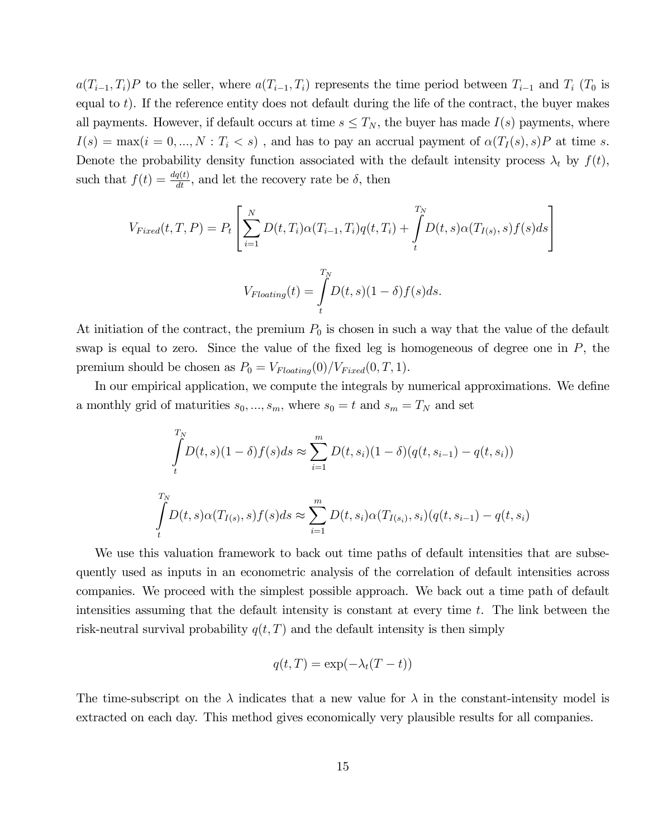$a(T_{i-1}, T_i)P$  to the seller, where  $a(T_{i-1}, T_i)$  represents the time period between  $T_{i-1}$  and  $T_i$  ( $T_0$  is equal to  $t$ ). If the reference entity does not default during the life of the contract, the buyer makes all payments. However, if default occurs at time  $s \leq T_N$ , the buyer has made  $I(s)$  payments, where  $I(s) = \max(i = 0, ..., N : T_i < s)$ , and has to pay an accrual payment of  $\alpha(T_I(s), s)P$  at time s. Denote the probability density function associated with the default intensity process  $\lambda_t$  by  $f(t)$ , such that  $f(t) = \frac{dq(t)}{dt}$ , and let the recovery rate be  $\delta$ , then

$$
V_{Fixed}(t, T, P) = P_t \left[ \sum_{i=1}^{N} D(t, T_i) \alpha(T_{i-1}, T_i) q(t, T_i) + \int_{t}^{T_N} D(t, s) \alpha(T_{I(s)}, s) f(s) ds \right]
$$
  

$$
V_{Floading}(t) = \int_{t}^{T_N} D(t, s) (1 - \delta) f(s) ds.
$$

At initiation of the contract, the premium  $P_0$  is chosen in such a way that the value of the default swap is equal to zero. Since the value of the fixed leg is homogeneous of degree one in  $P$ , the premium should be chosen as  $P_0 = V_{Floating}(0)/V_{Fixed}(0,T,1)$ .

In our empirical application, we compute the integrals by numerical approximations. We define a monthly grid of maturities  $s_0, ..., s_m$ , where  $s_0 = t$  and  $s_m = T_N$  and set

$$
\int_{t}^{T_N} D(t,s)(1-\delta)f(s)ds \approx \sum_{i=1}^{m} D(t,s_i)(1-\delta)(q(t,s_{i-1}) - q(t,s_i))
$$
\n
$$
\int_{t}^{T_N} D(t,s)\alpha(T_{I(s)},s)f(s)ds \approx \sum_{i=1}^{m} D(t,s_i)\alpha(T_{I(s_i)},s_i)(q(t,s_{i-1}) - q(t,s_i))
$$

We use this valuation framework to back out time paths of default intensities that are subsequently used as inputs in an econometric analysis of the correlation of default intensities across companies. We proceed with the simplest possible approach. We back out a time path of default intensities assuming that the default intensity is constant at every time t. The link between the risk-neutral survival probability  $q(t, T)$  and the default intensity is then simply

$$
q(t,T) = \exp(-\lambda_t(T-t))
$$

The time-subscript on the  $\lambda$  indicates that a new value for  $\lambda$  in the constant-intensity model is extracted on each day. This method gives economically very plausible results for all companies.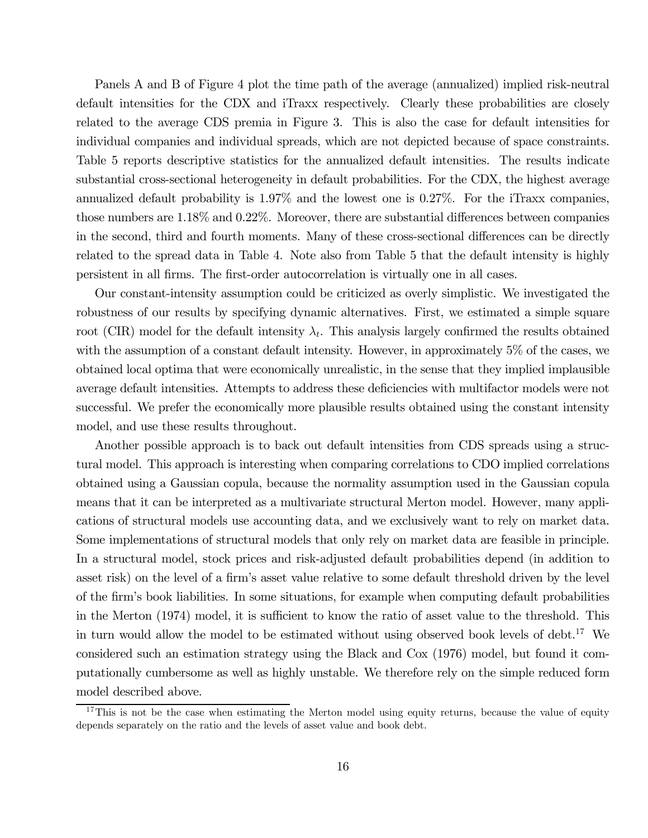Panels A and B of Figure 4 plot the time path of the average (annualized) implied risk-neutral default intensities for the CDX and iTraxx respectively. Clearly these probabilities are closely related to the average CDS premia in Figure 3. This is also the case for default intensities for individual companies and individual spreads, which are not depicted because of space constraints. Table 5 reports descriptive statistics for the annualized default intensities. The results indicate substantial cross-sectional heterogeneity in default probabilities. For the CDX, the highest average annualized default probability is 1.97% and the lowest one is 0.27%. For the iTraxx companies, those numbers are 1.18% and 0.22%. Moreover, there are substantial differences between companies in the second, third and fourth moments. Many of these cross-sectional differences can be directly related to the spread data in Table 4. Note also from Table 5 that the default intensity is highly persistent in all firms. The first-order autocorrelation is virtually one in all cases.

Our constant-intensity assumption could be criticized as overly simplistic. We investigated the robustness of our results by specifying dynamic alternatives. First, we estimated a simple square root (CIR) model for the default intensity  $\lambda_t$ . This analysis largely confirmed the results obtained with the assumption of a constant default intensity. However, in approximately 5% of the cases, we obtained local optima that were economically unrealistic, in the sense that they implied implausible average default intensities. Attempts to address these deficiencies with multifactor models were not successful. We prefer the economically more plausible results obtained using the constant intensity model, and use these results throughout.

Another possible approach is to back out default intensities from CDS spreads using a structural model. This approach is interesting when comparing correlations to CDO implied correlations obtained using a Gaussian copula, because the normality assumption used in the Gaussian copula means that it can be interpreted as a multivariate structural Merton model. However, many applications of structural models use accounting data, and we exclusively want to rely on market data. Some implementations of structural models that only rely on market data are feasible in principle. In a structural model, stock prices and risk-adjusted default probabilities depend (in addition to asset risk) on the level of a firm's asset value relative to some default threshold driven by the level of the firm's book liabilities. In some situations, for example when computing default probabilities in the Merton (1974) model, it is sufficient to know the ratio of asset value to the threshold. This in turn would allow the model to be estimated without using observed book levels of debt.<sup>17</sup> We considered such an estimation strategy using the Black and Cox (1976) model, but found it computationally cumbersome as well as highly unstable. We therefore rely on the simple reduced form model described above.

 $17$ This is not be the case when estimating the Merton model using equity returns, because the value of equity depends separately on the ratio and the levels of asset value and book debt.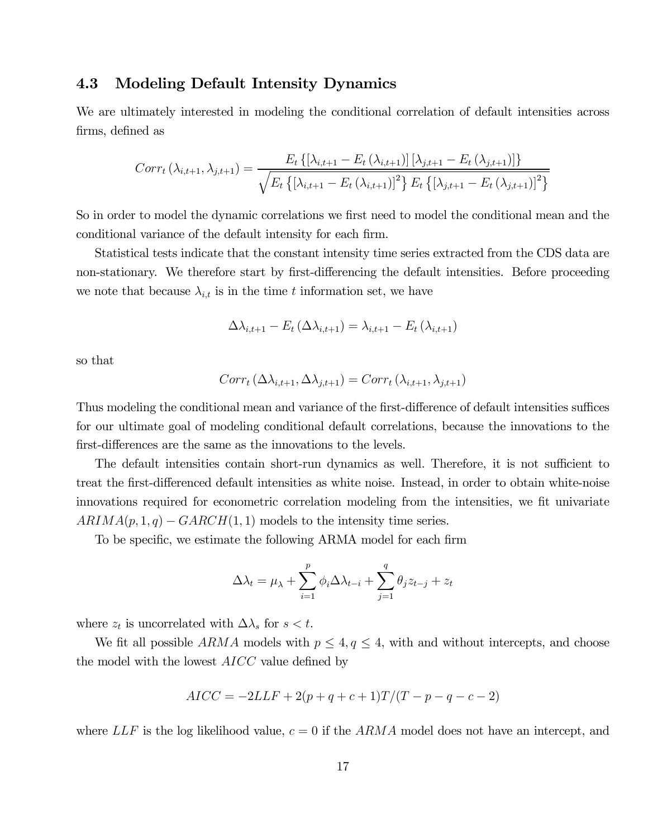### 4.3 Modeling Default Intensity Dynamics

We are ultimately interested in modeling the conditional correlation of default intensities across firms, defined as

$$
Corr_{t}(\lambda_{i,t+1},\lambda_{j,t+1}) = \frac{E_{t} \{ [\lambda_{i,t+1} - E_{t} (\lambda_{i,t+1})] [\lambda_{j,t+1} - E_{t} (\lambda_{j,t+1})] \}}{\sqrt{E_{t} \{ [\lambda_{i,t+1} - E_{t} (\lambda_{i,t+1})]^{2} \} E_{t} \{ [\lambda_{j,t+1} - E_{t} (\lambda_{j,t+1})]^{2} \}}}
$$

So in order to model the dynamic correlations we first need to model the conditional mean and the conditional variance of the default intensity for each firm.

Statistical tests indicate that the constant intensity time series extracted from the CDS data are non-stationary. We therefore start by first-differencing the default intensities. Before proceeding we note that because  $\lambda_{i,t}$  is in the time t information set, we have

$$
\Delta \lambda_{i,t+1} - E_t \left( \Delta \lambda_{i,t+1} \right) = \lambda_{i,t+1} - E_t \left( \lambda_{i,t+1} \right)
$$

so that

$$
Corr_t\left(\Delta \lambda_{i,t+1}, \Delta \lambda_{j,t+1}\right) = Corr_t\left(\lambda_{i,t+1}, \lambda_{j,t+1}\right)
$$

Thus modeling the conditional mean and variance of the first-difference of default intensities suffices for our ultimate goal of modeling conditional default correlations, because the innovations to the first-differences are the same as the innovations to the levels.

The default intensities contain short-run dynamics as well. Therefore, it is not sufficient to treat the first-differenced default intensities as white noise. Instead, in order to obtain white-noise innovations required for econometric correlation modeling from the intensities, we fit univariate  $ARIMA(p, 1, q) - GARCH(1, 1)$  models to the intensity time series.

To be specific, we estimate the following ARMA model for each firm

$$
\Delta \lambda_t = \mu_\lambda + \sum_{i=1}^p \phi_i \Delta \lambda_{t-i} + \sum_{j=1}^q \theta_j z_{t-j} + z_t
$$

where  $z_t$  is uncorrelated with  $\Delta\lambda_s$  for  $s < t$ .

We fit all possible  $ARMA$  models with  $p \leq 4, q \leq 4$ , with and without intercepts, and choose the model with the lowest AICC value defined by

$$
AICC = -2LLF + 2(p+q+c+1)T/(T-p-q-c-2)
$$

where  $LLF$  is the log likelihood value,  $c = 0$  if the ARMA model does not have an intercept, and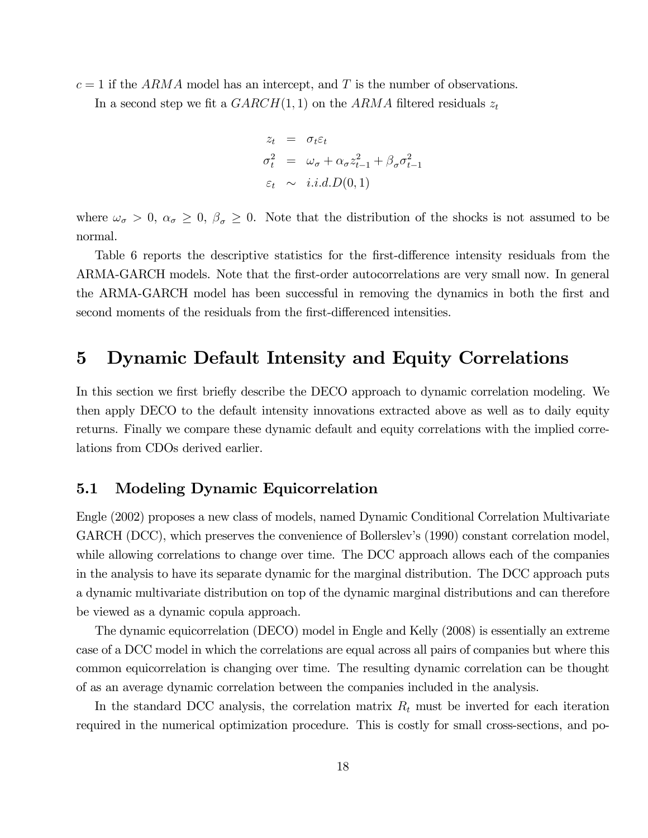$c = 1$  if the ARMA model has an intercept, and T is the number of observations.

In a second step we fit a  $GARCH(1, 1)$  on the ARMA filtered residuals  $z_t$ 

$$
z_t = \sigma_t \varepsilon_t
$$
  
\n
$$
\sigma_t^2 = \omega_\sigma + \alpha_\sigma z_{t-1}^2 + \beta_\sigma \sigma_{t-1}^2
$$
  
\n
$$
\varepsilon_t \sim i.i.d.D(0,1)
$$

where  $\omega_{\sigma} > 0$ ,  $\alpha_{\sigma} \geq 0$ ,  $\beta_{\sigma} \geq 0$ . Note that the distribution of the shocks is not assumed to be normal.

Table 6 reports the descriptive statistics for the first-difference intensity residuals from the ARMA-GARCH models. Note that the first-order autocorrelations are very small now. In general the ARMA-GARCH model has been successful in removing the dynamics in both the first and second moments of the residuals from the first-differenced intensities.

# 5 Dynamic Default Intensity and Equity Correlations

In this section we first briefly describe the DECO approach to dynamic correlation modeling. We then apply DECO to the default intensity innovations extracted above as well as to daily equity returns. Finally we compare these dynamic default and equity correlations with the implied correlations from CDOs derived earlier.

### 5.1 Modeling Dynamic Equicorrelation

Engle (2002) proposes a new class of models, named Dynamic Conditional Correlation Multivariate GARCH (DCC), which preserves the convenience of Bollerslev's (1990) constant correlation model, while allowing correlations to change over time. The DCC approach allows each of the companies in the analysis to have its separate dynamic for the marginal distribution. The DCC approach puts a dynamic multivariate distribution on top of the dynamic marginal distributions and can therefore be viewed as a dynamic copula approach.

The dynamic equicorrelation (DECO) model in Engle and Kelly (2008) is essentially an extreme case of a DCC model in which the correlations are equal across all pairs of companies but where this common equicorrelation is changing over time. The resulting dynamic correlation can be thought of as an average dynamic correlation between the companies included in the analysis.

In the standard DCC analysis, the correlation matrix  $R_t$  must be inverted for each iteration required in the numerical optimization procedure. This is costly for small cross-sections, and po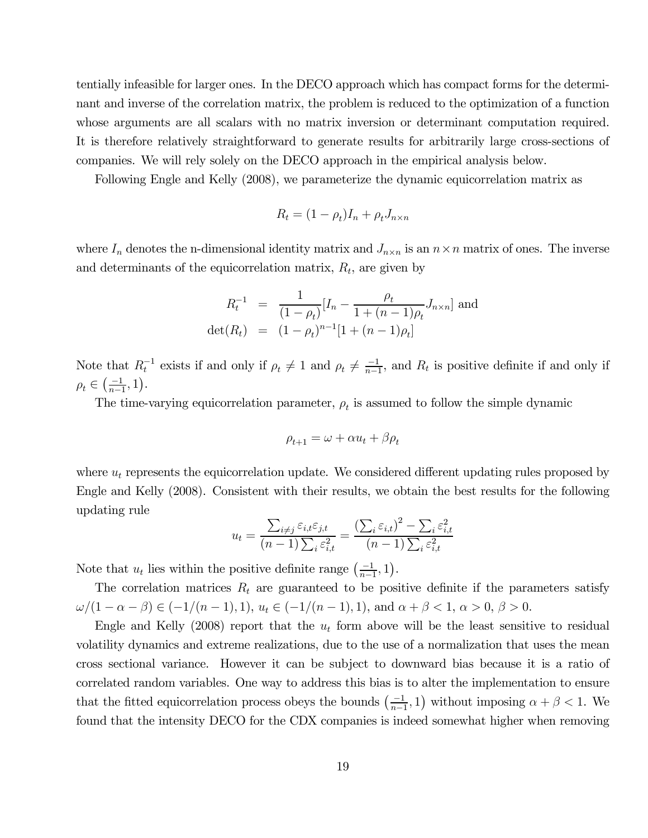tentially infeasible for larger ones. In the DECO approach which has compact forms for the determinant and inverse of the correlation matrix, the problem is reduced to the optimization of a function whose arguments are all scalars with no matrix inversion or determinant computation required. It is therefore relatively straightforward to generate results for arbitrarily large cross-sections of companies. We will rely solely on the DECO approach in the empirical analysis below.

Following Engle and Kelly (2008), we parameterize the dynamic equicorrelation matrix as

$$
R_t = (1 - \rho_t)I_n + \rho_t J_{n \times n}
$$

where  $I_n$  denotes the n-dimensional identity matrix and  $J_{n\times n}$  is an  $n\times n$  matrix of ones. The inverse and determinants of the equicorrelation matrix,  $R_t$ , are given by

$$
R_t^{-1} = \frac{1}{(1 - \rho_t)} [I_n - \frac{\rho_t}{1 + (n - 1)\rho_t} J_{n \times n}]
$$
 and  
det $(R_t)$  =  $(1 - \rho_t)^{n-1} [1 + (n - 1)\rho_t]$ 

Note that  $R_t^{-1}$  exists if and only if  $\rho_t \neq 1$  and  $\rho_t \neq \frac{-1}{n-1}$ , and  $R_t$  is positive definite if and only if  $\rho_t \in \left(\frac{-1}{n-1}, 1\right)$ .

The time-varying equicorrelation parameter,  $\rho_t$  is assumed to follow the simple dynamic

$$
\rho_{t+1} = \omega + \alpha u_t + \beta \rho_t
$$

where  $u_t$  represents the equicorrelation update. We considered different updating rules proposed by Engle and Kelly (2008). Consistent with their results, we obtain the best results for the following updating rule

$$
u_t = \frac{\sum_{i \neq j} \varepsilon_{i,t} \varepsilon_{j,t}}{(n-1) \sum_i \varepsilon_{i,t}^2} = \frac{\left(\sum_i \varepsilon_{i,t}\right)^2 - \sum_i \varepsilon_{i,t}^2}{(n-1) \sum_i \varepsilon_{i,t}^2}
$$

Note that  $u_t$  lies within the positive definite range  $\left(\frac{-1}{n-1}, 1\right)$ .

The correlation matrices  $R_t$  are guaranteed to be positive definite if the parameters satisfy  $\omega/(1 - \alpha - \beta) \in (-1/(n-1), 1), u_t \in (-1/(n-1), 1), \text{ and } \alpha + \beta < 1, \alpha > 0, \beta > 0.$ 

Engle and Kelly (2008) report that the  $u_t$  form above will be the least sensitive to residual volatility dynamics and extreme realizations, due to the use of a normalization that uses the mean cross sectional variance. However it can be subject to downward bias because it is a ratio of correlated random variables. One way to address this bias is to alter the implementation to ensure that the fitted equicorrelation process obeys the bounds  $\left(\frac{-1}{n-1}, 1\right)$  without imposing  $\alpha + \beta < 1$ . We found that the intensity DECO for the CDX companies is indeed somewhat higher when removing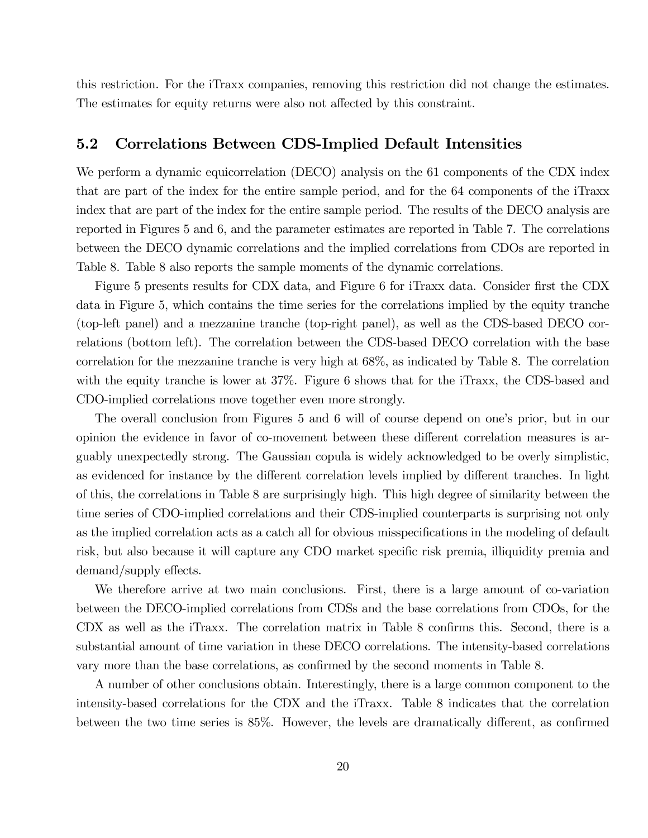this restriction. For the iTraxx companies, removing this restriction did not change the estimates. The estimates for equity returns were also not affected by this constraint.

### 5.2 Correlations Between CDS-Implied Default Intensities

We perform a dynamic equicorrelation (DECO) analysis on the 61 components of the CDX index that are part of the index for the entire sample period, and for the 64 components of the iTraxx index that are part of the index for the entire sample period. The results of the DECO analysis are reported in Figures 5 and 6, and the parameter estimates are reported in Table 7. The correlations between the DECO dynamic correlations and the implied correlations from CDOs are reported in Table 8. Table 8 also reports the sample moments of the dynamic correlations.

Figure 5 presents results for CDX data, and Figure 6 for iTraxx data. Consider first the CDX data in Figure 5, which contains the time series for the correlations implied by the equity tranche (top-left panel) and a mezzanine tranche (top-right panel), as well as the CDS-based DECO correlations (bottom left). The correlation between the CDS-based DECO correlation with the base correlation for the mezzanine tranche is very high at 68%, as indicated by Table 8. The correlation with the equity tranche is lower at 37%. Figure 6 shows that for the iTraxx, the CDS-based and CDO-implied correlations move together even more strongly.

The overall conclusion from Figures 5 and 6 will of course depend on one's prior, but in our opinion the evidence in favor of co-movement between these different correlation measures is arguably unexpectedly strong. The Gaussian copula is widely acknowledged to be overly simplistic, as evidenced for instance by the different correlation levels implied by different tranches. In light of this, the correlations in Table 8 are surprisingly high. This high degree of similarity between the time series of CDO-implied correlations and their CDS-implied counterparts is surprising not only as the implied correlation acts as a catch all for obvious misspecifications in the modeling of default risk, but also because it will capture any CDO market specific risk premia, illiquidity premia and demand/supply effects.

We therefore arrive at two main conclusions. First, there is a large amount of co-variation between the DECO-implied correlations from CDSs and the base correlations from CDOs, for the CDX as well as the iTraxx. The correlation matrix in Table 8 confirms this. Second, there is a substantial amount of time variation in these DECO correlations. The intensity-based correlations vary more than the base correlations, as confirmed by the second moments in Table 8.

A number of other conclusions obtain. Interestingly, there is a large common component to the intensity-based correlations for the CDX and the iTraxx. Table 8 indicates that the correlation between the two time series is 85%. However, the levels are dramatically different, as confirmed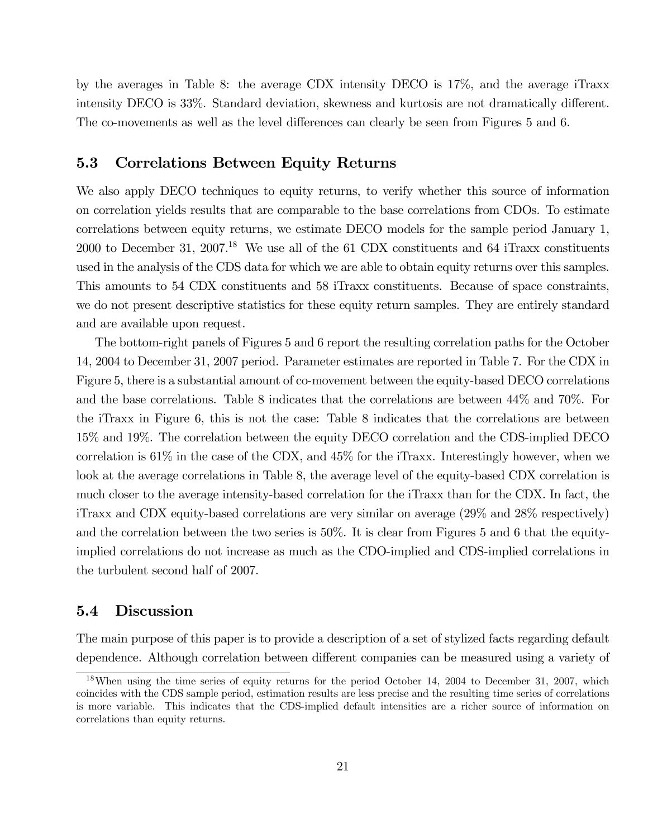by the averages in Table 8: the average CDX intensity DECO is 17%, and the average iTraxx intensity DECO is 33%. Standard deviation, skewness and kurtosis are not dramatically different. The co-movements as well as the level differences can clearly be seen from Figures 5 and 6.

### 5.3 Correlations Between Equity Returns

We also apply DECO techniques to equity returns, to verify whether this source of information on correlation yields results that are comparable to the base correlations from CDOs. To estimate correlations between equity returns, we estimate DECO models for the sample period January 1, 2000 to December 31, 2007.<sup>18</sup> We use all of the 61 CDX constituents and 64 iTraxx constituents used in the analysis of the CDS data for which we are able to obtain equity returns over this samples. This amounts to 54 CDX constituents and 58 iTraxx constituents. Because of space constraints, we do not present descriptive statistics for these equity return samples. They are entirely standard and are available upon request.

The bottom-right panels of Figures 5 and 6 report the resulting correlation paths for the October 14, 2004 to December 31, 2007 period. Parameter estimates are reported in Table 7. For the CDX in Figure 5, there is a substantial amount of co-movement between the equity-based DECO correlations and the base correlations. Table 8 indicates that the correlations are between 44% and 70%. For the iTraxx in Figure 6, this is not the case: Table 8 indicates that the correlations are between 15% and 19%. The correlation between the equity DECO correlation and the CDS-implied DECO correlation is 61% in the case of the CDX, and 45% for the iTraxx. Interestingly however, when we look at the average correlations in Table 8, the average level of the equity-based CDX correlation is much closer to the average intensity-based correlation for the iTraxx than for the CDX. In fact, the iTraxx and CDX equity-based correlations are very similar on average (29% and 28% respectively) and the correlation between the two series is 50%. It is clear from Figures 5 and 6 that the equityimplied correlations do not increase as much as the CDO-implied and CDS-implied correlations in the turbulent second half of 2007.

### 5.4 Discussion

The main purpose of this paper is to provide a description of a set of stylized facts regarding default dependence. Although correlation between different companies can be measured using a variety of

<sup>&</sup>lt;sup>18</sup>When using the time series of equity returns for the period October 14, 2004 to December 31, 2007, which coincides with the CDS sample period, estimation results are less precise and the resulting time series of correlations is more variable. This indicates that the CDS-implied default intensities are a richer source of information on correlations than equity returns.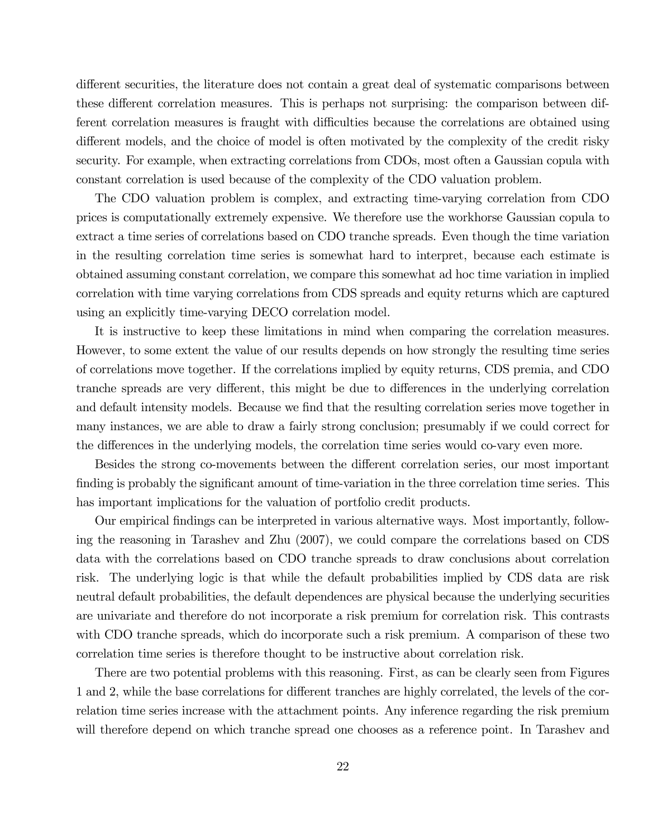different securities, the literature does not contain a great deal of systematic comparisons between these different correlation measures. This is perhaps not surprising: the comparison between different correlation measures is fraught with difficulties because the correlations are obtained using different models, and the choice of model is often motivated by the complexity of the credit risky security. For example, when extracting correlations from CDOs, most often a Gaussian copula with constant correlation is used because of the complexity of the CDO valuation problem.

The CDO valuation problem is complex, and extracting time-varying correlation from CDO prices is computationally extremely expensive. We therefore use the workhorse Gaussian copula to extract a time series of correlations based on CDO tranche spreads. Even though the time variation in the resulting correlation time series is somewhat hard to interpret, because each estimate is obtained assuming constant correlation, we compare this somewhat ad hoc time variation in implied correlation with time varying correlations from CDS spreads and equity returns which are captured using an explicitly time-varying DECO correlation model.

It is instructive to keep these limitations in mind when comparing the correlation measures. However, to some extent the value of our results depends on how strongly the resulting time series of correlations move together. If the correlations implied by equity returns, CDS premia, and CDO tranche spreads are very different, this might be due to differences in the underlying correlation and default intensity models. Because we find that the resulting correlation series move together in many instances, we are able to draw a fairly strong conclusion; presumably if we could correct for the differences in the underlying models, the correlation time series would co-vary even more.

Besides the strong co-movements between the different correlation series, our most important finding is probably the significant amount of time-variation in the three correlation time series. This has important implications for the valuation of portfolio credit products.

Our empirical findings can be interpreted in various alternative ways. Most importantly, following the reasoning in Tarashev and Zhu (2007), we could compare the correlations based on CDS data with the correlations based on CDO tranche spreads to draw conclusions about correlation risk. The underlying logic is that while the default probabilities implied by CDS data are risk neutral default probabilities, the default dependences are physical because the underlying securities are univariate and therefore do not incorporate a risk premium for correlation risk. This contrasts with CDO tranche spreads, which do incorporate such a risk premium. A comparison of these two correlation time series is therefore thought to be instructive about correlation risk.

There are two potential problems with this reasoning. First, as can be clearly seen from Figures 1 and 2, while the base correlations for different tranches are highly correlated, the levels of the correlation time series increase with the attachment points. Any inference regarding the risk premium will therefore depend on which tranche spread one chooses as a reference point. In Tarashev and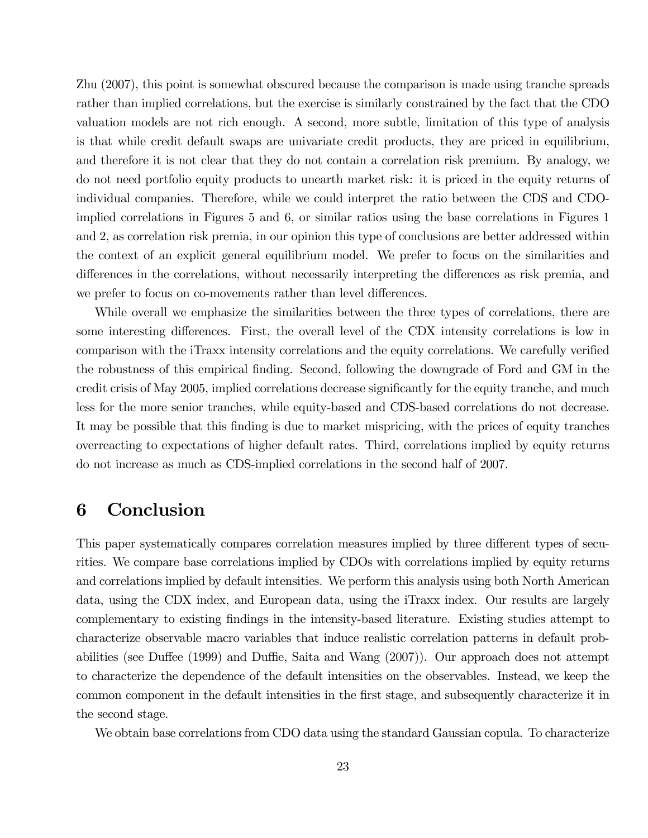Zhu (2007), this point is somewhat obscured because the comparison is made using tranche spreads rather than implied correlations, but the exercise is similarly constrained by the fact that the CDO valuation models are not rich enough. A second, more subtle, limitation of this type of analysis is that while credit default swaps are univariate credit products, they are priced in equilibrium, and therefore it is not clear that they do not contain a correlation risk premium. By analogy, we do not need portfolio equity products to unearth market risk: it is priced in the equity returns of individual companies. Therefore, while we could interpret the ratio between the CDS and CDOimplied correlations in Figures 5 and 6, or similar ratios using the base correlations in Figures 1 and 2, as correlation risk premia, in our opinion this type of conclusions are better addressed within the context of an explicit general equilibrium model. We prefer to focus on the similarities and differences in the correlations, without necessarily interpreting the differences as risk premia, and we prefer to focus on co-movements rather than level differences.

While overall we emphasize the similarities between the three types of correlations, there are some interesting differences. First, the overall level of the CDX intensity correlations is low in comparison with the iTraxx intensity correlations and the equity correlations. We carefully verified the robustness of this empirical finding. Second, following the downgrade of Ford and GM in the credit crisis of May 2005, implied correlations decrease significantly for the equity tranche, and much less for the more senior tranches, while equity-based and CDS-based correlations do not decrease. It may be possible that this finding is due to market mispricing, with the prices of equity tranches overreacting to expectations of higher default rates. Third, correlations implied by equity returns do not increase as much as CDS-implied correlations in the second half of 2007.

# 6 Conclusion

This paper systematically compares correlation measures implied by three different types of securities. We compare base correlations implied by CDOs with correlations implied by equity returns and correlations implied by default intensities. We perform this analysis using both North American data, using the CDX index, and European data, using the iTraxx index. Our results are largely complementary to existing findings in the intensity-based literature. Existing studies attempt to characterize observable macro variables that induce realistic correlation patterns in default probabilities (see Duffee (1999) and Duffie, Saita and Wang (2007)). Our approach does not attempt to characterize the dependence of the default intensities on the observables. Instead, we keep the common component in the default intensities in the first stage, and subsequently characterize it in the second stage.

We obtain base correlations from CDO data using the standard Gaussian copula. To characterize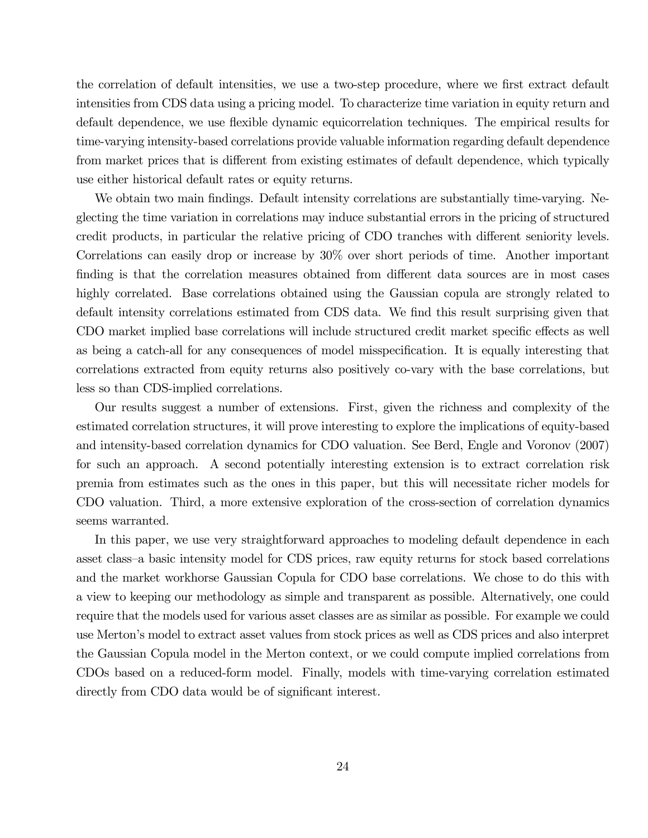the correlation of default intensities, we use a two-step procedure, where we first extract default intensities from CDS data using a pricing model. To characterize time variation in equity return and default dependence, we use flexible dynamic equicorrelation techniques. The empirical results for time-varying intensity-based correlations provide valuable information regarding default dependence from market prices that is different from existing estimates of default dependence, which typically use either historical default rates or equity returns.

We obtain two main findings. Default intensity correlations are substantially time-varying. Neglecting the time variation in correlations may induce substantial errors in the pricing of structured credit products, in particular the relative pricing of CDO tranches with different seniority levels. Correlations can easily drop or increase by 30% over short periods of time. Another important finding is that the correlation measures obtained from different data sources are in most cases highly correlated. Base correlations obtained using the Gaussian copula are strongly related to default intensity correlations estimated from CDS data. We find this result surprising given that CDO market implied base correlations will include structured credit market specific effects as well as being a catch-all for any consequences of model misspecification. It is equally interesting that correlations extracted from equity returns also positively co-vary with the base correlations, but less so than CDS-implied correlations.

Our results suggest a number of extensions. First, given the richness and complexity of the estimated correlation structures, it will prove interesting to explore the implications of equity-based and intensity-based correlation dynamics for CDO valuation. See Berd, Engle and Voronov (2007) for such an approach. A second potentially interesting extension is to extract correlation risk premia from estimates such as the ones in this paper, but this will necessitate richer models for CDO valuation. Third, a more extensive exploration of the cross-section of correlation dynamics seems warranted.

In this paper, we use very straightforward approaches to modeling default dependence in each asset class—a basic intensity model for CDS prices, raw equity returns for stock based correlations and the market workhorse Gaussian Copula for CDO base correlations. We chose to do this with a view to keeping our methodology as simple and transparent as possible. Alternatively, one could require that the models used for various asset classes are as similar as possible. For example we could use Merton's model to extract asset values from stock prices as well as CDS prices and also interpret the Gaussian Copula model in the Merton context, or we could compute implied correlations from CDOs based on a reduced-form model. Finally, models with time-varying correlation estimated directly from CDO data would be of significant interest.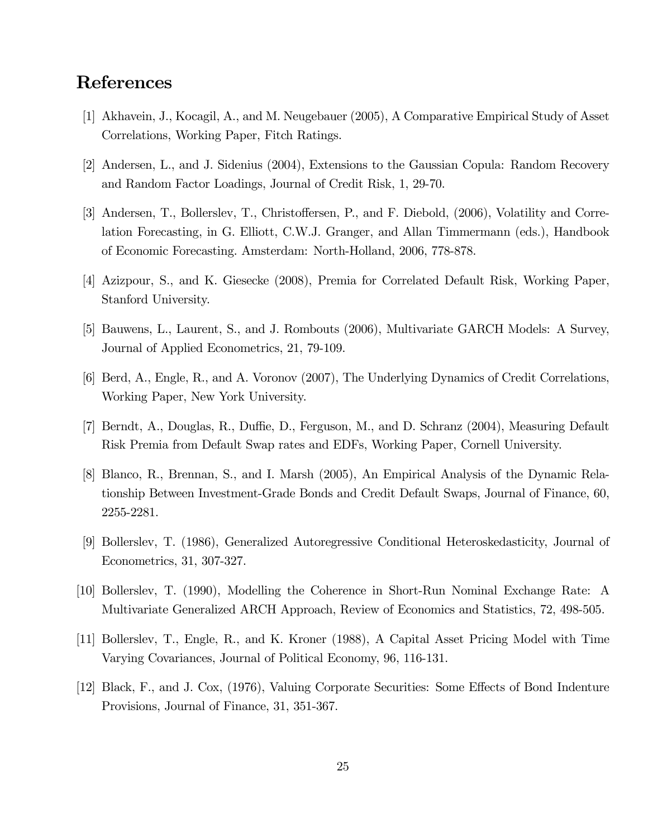# References

- [1] Akhavein, J., Kocagil, A., and M. Neugebauer (2005), A Comparative Empirical Study of Asset Correlations, Working Paper, Fitch Ratings.
- [2] Andersen, L., and J. Sidenius (2004), Extensions to the Gaussian Copula: Random Recovery and Random Factor Loadings, Journal of Credit Risk, 1, 29-70.
- [3] Andersen, T., Bollerslev, T., Christoffersen, P., and F. Diebold, (2006), Volatility and Correlation Forecasting, in G. Elliott, C.W.J. Granger, and Allan Timmermann (eds.), Handbook of Economic Forecasting. Amsterdam: North-Holland, 2006, 778-878.
- [4] Azizpour, S., and K. Giesecke (2008), Premia for Correlated Default Risk, Working Paper, Stanford University.
- [5] Bauwens, L., Laurent, S., and J. Rombouts (2006), Multivariate GARCH Models: A Survey, Journal of Applied Econometrics, 21, 79-109.
- [6] Berd, A., Engle, R., and A. Voronov (2007), The Underlying Dynamics of Credit Correlations, Working Paper, New York University.
- [7] Berndt, A., Douglas, R., Duffie, D., Ferguson, M., and D. Schranz (2004), Measuring Default Risk Premia from Default Swap rates and EDFs, Working Paper, Cornell University.
- [8] Blanco, R., Brennan, S., and I. Marsh (2005), An Empirical Analysis of the Dynamic Relationship Between Investment-Grade Bonds and Credit Default Swaps, Journal of Finance, 60, 2255-2281.
- [9] Bollerslev, T. (1986), Generalized Autoregressive Conditional Heteroskedasticity, Journal of Econometrics, 31, 307-327.
- [10] Bollerslev, T. (1990), Modelling the Coherence in Short-Run Nominal Exchange Rate: A Multivariate Generalized ARCH Approach, Review of Economics and Statistics, 72, 498-505.
- [11] Bollerslev, T., Engle, R., and K. Kroner (1988), A Capital Asset Pricing Model with Time Varying Covariances, Journal of Political Economy, 96, 116-131.
- [12] Black, F., and J. Cox, (1976), Valuing Corporate Securities: Some Effects of Bond Indenture Provisions, Journal of Finance, 31, 351-367.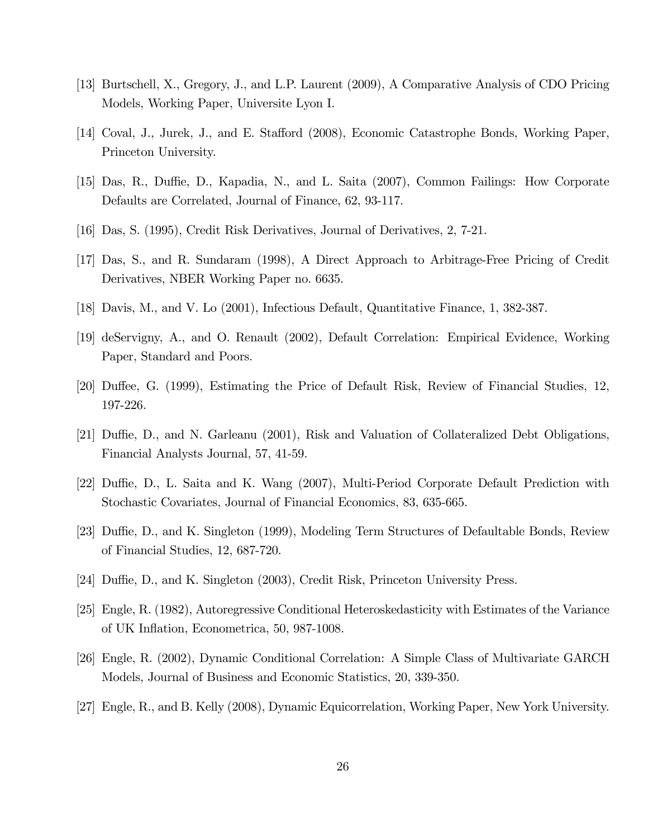- [13] Burtschell, X., Gregory, J., and L.P. Laurent (2009), A Comparative Analysis of CDO Pricing Models, Working Paper, Universite Lyon I.
- [14] Coval, J., Jurek, J., and E. Stafford (2008), Economic Catastrophe Bonds, Working Paper, Princeton University.
- [15] Das, R., Duffie, D., Kapadia, N., and L. Saita (2007), Common Failings: How Corporate Defaults are Correlated, Journal of Finance, 62, 93-117.
- [16] Das, S. (1995), Credit Risk Derivatives, Journal of Derivatives, 2, 7-21.
- [17] Das, S., and R. Sundaram (1998), A Direct Approach to Arbitrage-Free Pricing of Credit Derivatives, NBER Working Paper no. 6635.
- [18] Davis, M., and V. Lo (2001), Infectious Default, Quantitative Finance, 1, 382-387.
- [19] deServigny, A., and O. Renault (2002), Default Correlation: Empirical Evidence, Working Paper, Standard and Poors.
- [20] Duffee, G. (1999), Estimating the Price of Default Risk, Review of Financial Studies, 12, 197-226.
- [21] Duffie, D., and N. Garleanu (2001), Risk and Valuation of Collateralized Debt Obligations, Financial Analysts Journal, 57, 41-59.
- [22] Duffie, D., L. Saita and K. Wang (2007), Multi-Period Corporate Default Prediction with Stochastic Covariates, Journal of Financial Economics, 83, 635-665.
- [23] Duffie, D., and K. Singleton (1999), Modeling Term Structures of Defaultable Bonds, Review of Financial Studies, 12, 687-720.
- [24] Duffie, D., and K. Singleton (2003), Credit Risk, Princeton University Press.
- [25] Engle, R. (1982), Autoregressive Conditional Heteroskedasticity with Estimates of the Variance of UK Inflation, Econometrica, 50, 987-1008.
- [26] Engle, R. (2002), Dynamic Conditional Correlation: A Simple Class of Multivariate GARCH Models, Journal of Business and Economic Statistics, 20, 339-350.
- [27] Engle, R., and B. Kelly (2008), Dynamic Equicorrelation, Working Paper, New York University.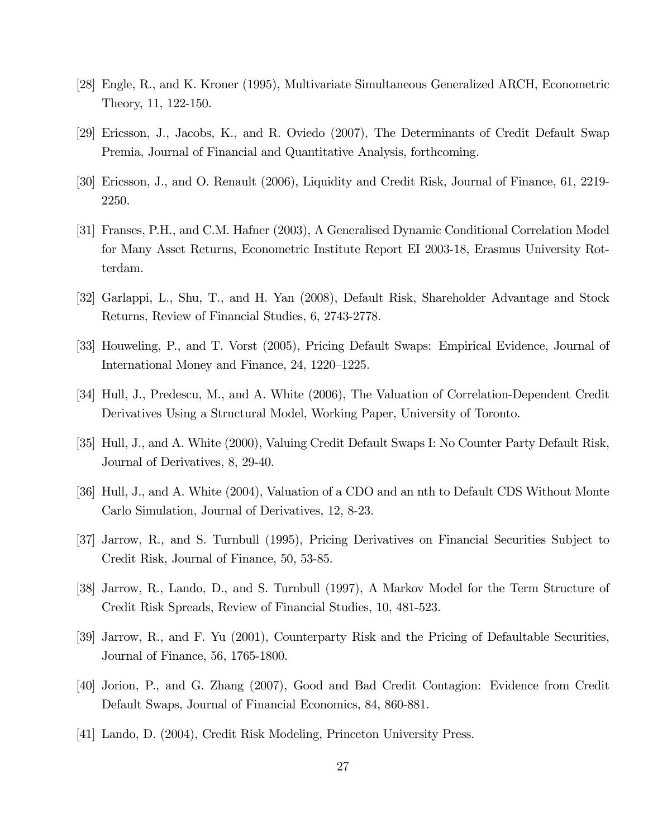- [28] Engle, R., and K. Kroner (1995), Multivariate Simultaneous Generalized ARCH, Econometric Theory, 11, 122-150.
- [29] Ericsson, J., Jacobs, K., and R. Oviedo (2007), The Determinants of Credit Default Swap Premia, Journal of Financial and Quantitative Analysis, forthcoming.
- [30] Ericsson, J., and O. Renault (2006), Liquidity and Credit Risk, Journal of Finance, 61, 2219- 2250.
- [31] Franses, P.H., and C.M. Hafner (2003), A Generalised Dynamic Conditional Correlation Model for Many Asset Returns, Econometric Institute Report EI 2003-18, Erasmus University Rotterdam.
- [32] Garlappi, L., Shu, T., and H. Yan (2008), Default Risk, Shareholder Advantage and Stock Returns, Review of Financial Studies, 6, 2743-2778.
- [33] Houweling, P., and T. Vorst (2005), Pricing Default Swaps: Empirical Evidence, Journal of International Money and Finance, 24, 1220—1225.
- [34] Hull, J., Predescu, M., and A. White (2006), The Valuation of Correlation-Dependent Credit Derivatives Using a Structural Model, Working Paper, University of Toronto.
- [35] Hull, J., and A. White (2000), Valuing Credit Default Swaps I: No Counter Party Default Risk, Journal of Derivatives, 8, 29-40.
- [36] Hull, J., and A. White (2004), Valuation of a CDO and an nth to Default CDS Without Monte Carlo Simulation, Journal of Derivatives, 12, 8-23.
- [37] Jarrow, R., and S. Turnbull (1995), Pricing Derivatives on Financial Securities Subject to Credit Risk, Journal of Finance, 50, 53-85.
- [38] Jarrow, R., Lando, D., and S. Turnbull (1997), A Markov Model for the Term Structure of Credit Risk Spreads, Review of Financial Studies, 10, 481-523.
- [39] Jarrow, R., and F. Yu (2001), Counterparty Risk and the Pricing of Defaultable Securities, Journal of Finance, 56, 1765-1800.
- [40] Jorion, P., and G. Zhang (2007), Good and Bad Credit Contagion: Evidence from Credit Default Swaps, Journal of Financial Economics, 84, 860-881.
- [41] Lando, D. (2004), Credit Risk Modeling, Princeton University Press.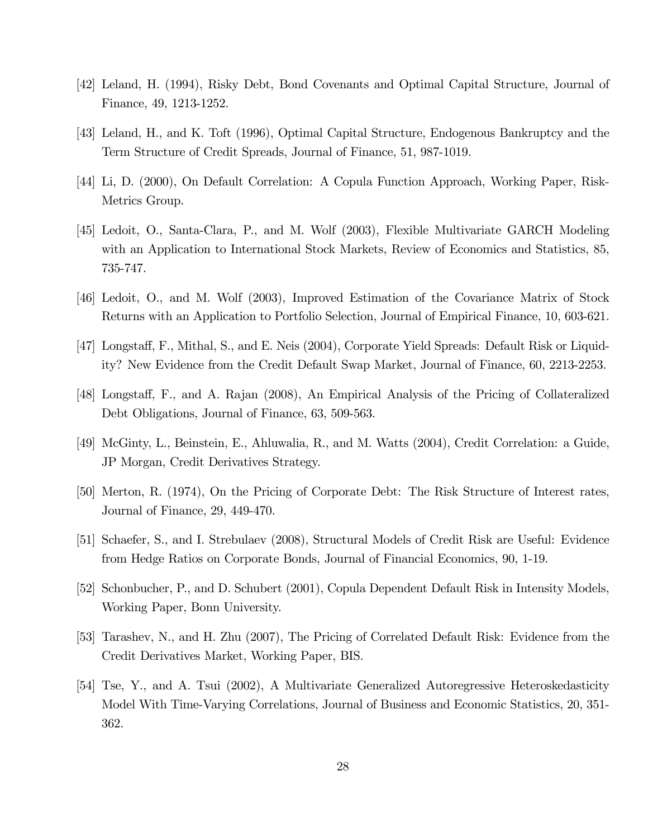- [42] Leland, H. (1994), Risky Debt, Bond Covenants and Optimal Capital Structure, Journal of Finance, 49, 1213-1252.
- [43] Leland, H., and K. Toft (1996), Optimal Capital Structure, Endogenous Bankruptcy and the Term Structure of Credit Spreads, Journal of Finance, 51, 987-1019.
- [44] Li, D. (2000), On Default Correlation: A Copula Function Approach, Working Paper, Risk-Metrics Group.
- [45] Ledoit, O., Santa-Clara, P., and M. Wolf (2003), Flexible Multivariate GARCH Modeling with an Application to International Stock Markets, Review of Economics and Statistics, 85, 735-747.
- [46] Ledoit, O., and M. Wolf (2003), Improved Estimation of the Covariance Matrix of Stock Returns with an Application to Portfolio Selection, Journal of Empirical Finance, 10, 603-621.
- [47] Longstaff, F., Mithal, S., and E. Neis (2004), Corporate Yield Spreads: Default Risk or Liquidity? New Evidence from the Credit Default Swap Market, Journal of Finance, 60, 2213-2253.
- [48] Longstaff, F., and A. Rajan (2008), An Empirical Analysis of the Pricing of Collateralized Debt Obligations, Journal of Finance, 63, 509-563.
- [49] McGinty, L., Beinstein, E., Ahluwalia, R., and M. Watts (2004), Credit Correlation: a Guide, JP Morgan, Credit Derivatives Strategy.
- [50] Merton, R. (1974), On the Pricing of Corporate Debt: The Risk Structure of Interest rates, Journal of Finance, 29, 449-470.
- [51] Schaefer, S., and I. Strebulaev (2008), Structural Models of Credit Risk are Useful: Evidence from Hedge Ratios on Corporate Bonds, Journal of Financial Economics, 90, 1-19.
- [52] Schonbucher, P., and D. Schubert (2001), Copula Dependent Default Risk in Intensity Models, Working Paper, Bonn University.
- [53] Tarashev, N., and H. Zhu (2007), The Pricing of Correlated Default Risk: Evidence from the Credit Derivatives Market, Working Paper, BIS.
- [54] Tse, Y., and A. Tsui (2002), A Multivariate Generalized Autoregressive Heteroskedasticity Model With Time-Varying Correlations, Journal of Business and Economic Statistics, 20, 351- 362.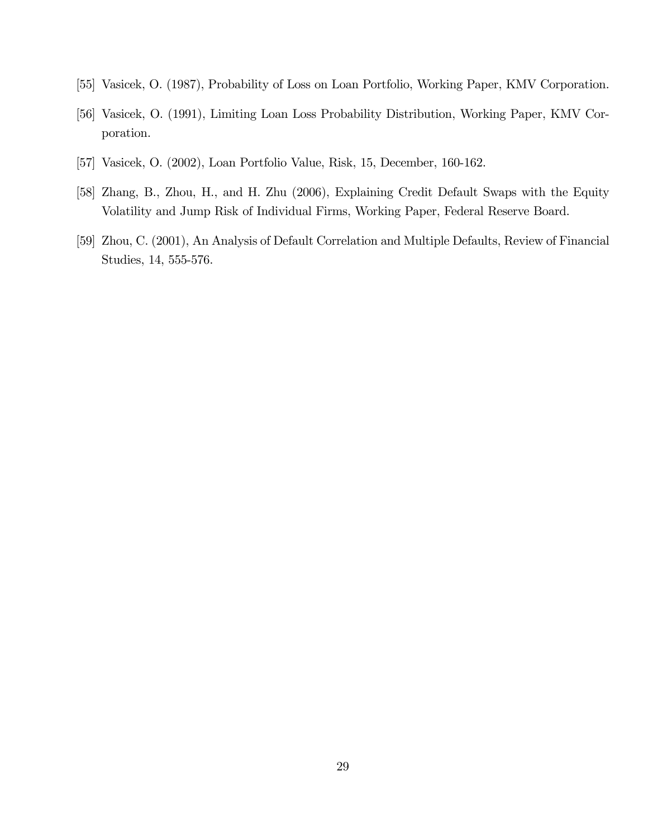- [55] Vasicek, O. (1987), Probability of Loss on Loan Portfolio, Working Paper, KMV Corporation.
- [56] Vasicek, O. (1991), Limiting Loan Loss Probability Distribution, Working Paper, KMV Corporation.
- [57] Vasicek, O. (2002), Loan Portfolio Value, Risk, 15, December, 160-162.
- [58] Zhang, B., Zhou, H., and H. Zhu (2006), Explaining Credit Default Swaps with the Equity Volatility and Jump Risk of Individual Firms, Working Paper, Federal Reserve Board.
- [59] Zhou, C. (2001), An Analysis of Default Correlation and Multiple Defaults, Review of Financial Studies, 14, 555-576.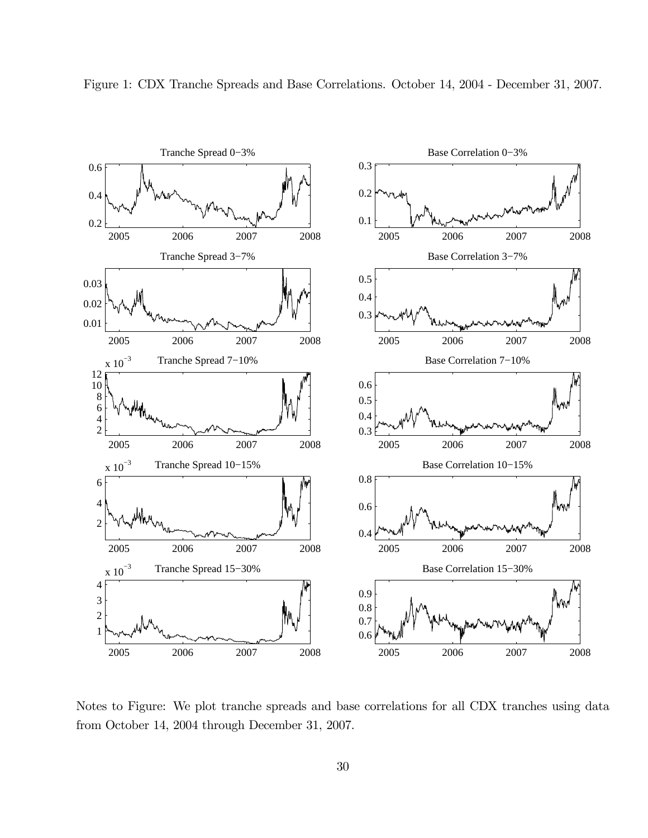

Figure 1: CDX Tranche Spreads and Base Correlations. October 14, 2004 - December 31, 2007.

Notes to Figure: We plot tranche spreads and base correlations for all CDX tranches using data from October 14, 2004 through December 31, 2007.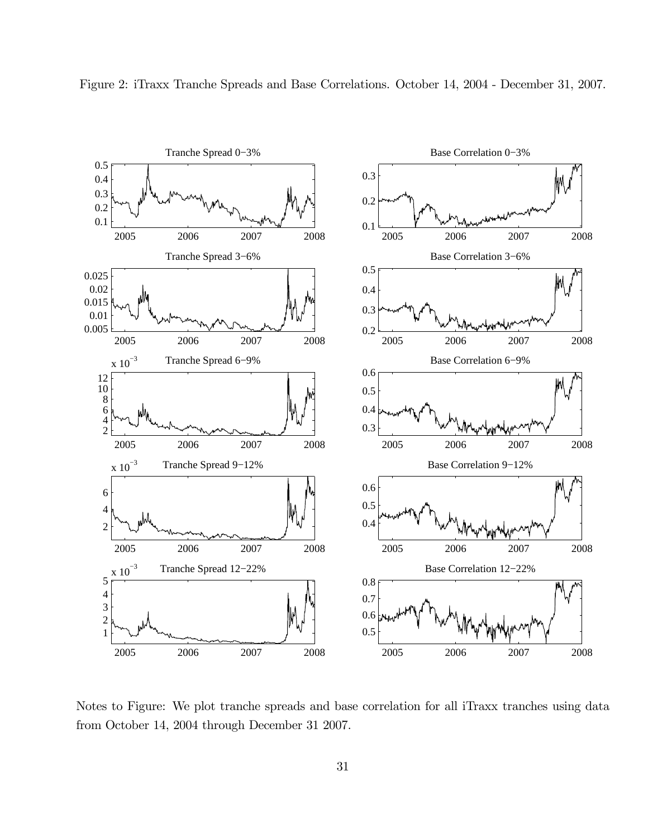

Figure 2: iTraxx Tranche Spreads and Base Correlations. October 14, 2004 - December 31, 2007.

Notes to Figure: We plot tranche spreads and base correlation for all iTraxx tranches using data from October 14, 2004 through December 31 2007.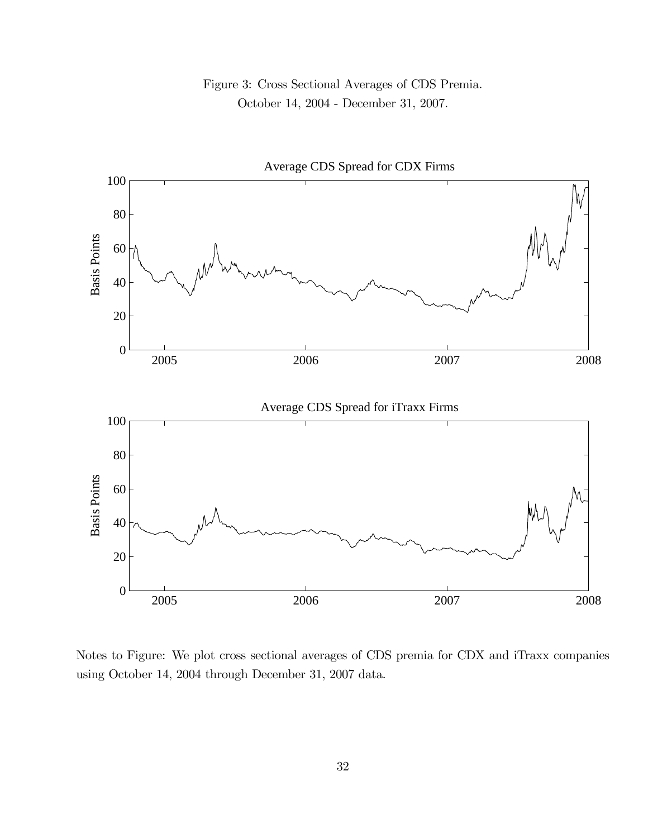



Notes to Figure: We plot cross sectional averages of CDS premia for CDX and iTraxx companies using October 14, 2004 through December 31, 2007 data.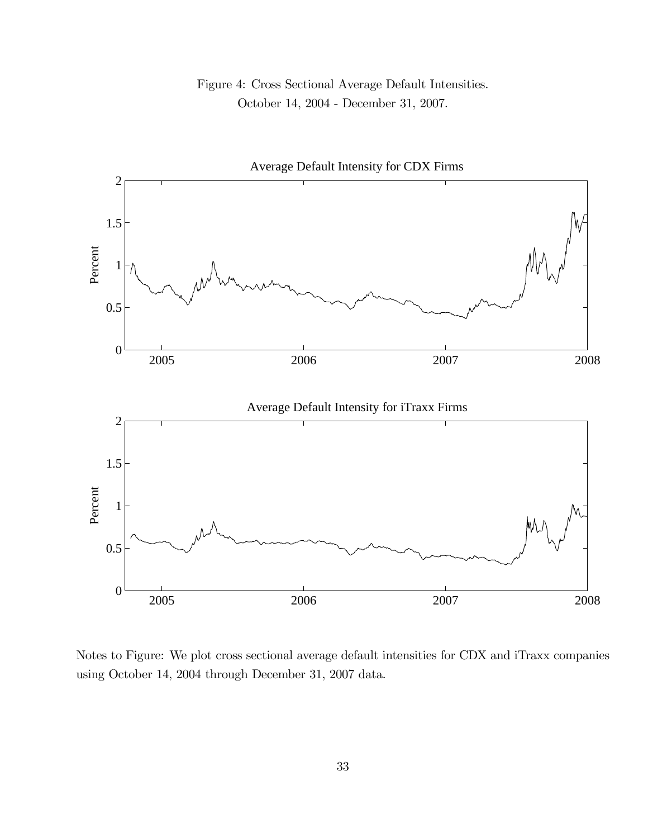## Figure 4: Cross Sectional Average Default Intensities. October 14, 2004 - December 31, 2007.



Notes to Figure: We plot cross sectional average default intensities for CDX and iTraxx companies using October 14, 2004 through December 31, 2007 data.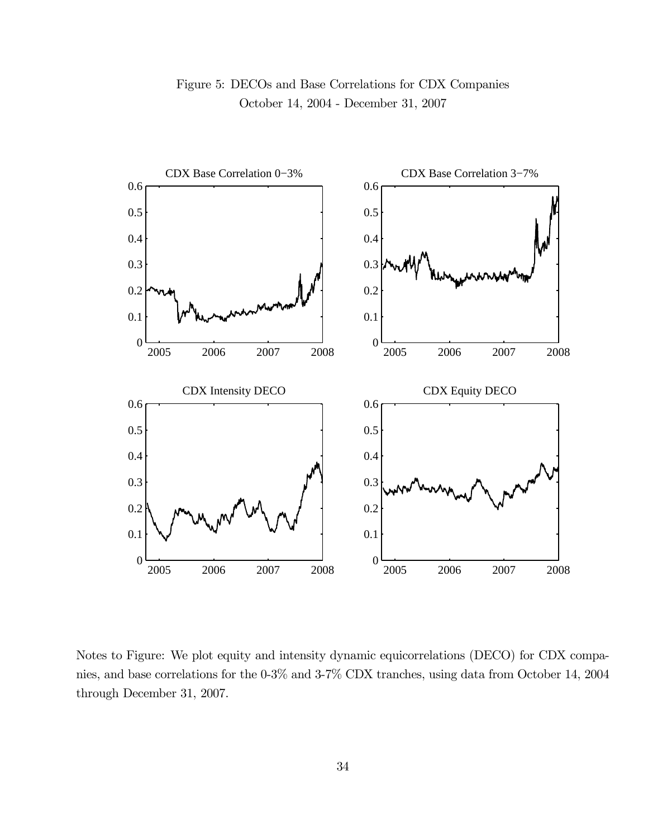

## Figure 5: DECOs and Base Correlations for CDX Companies October 14, 2004 - December 31, 2007

Notes to Figure: We plot equity and intensity dynamic equicorrelations (DECO) for CDX companies, and base correlations for the 0-3% and 3-7% CDX tranches, using data from October 14, 2004 through December 31, 2007.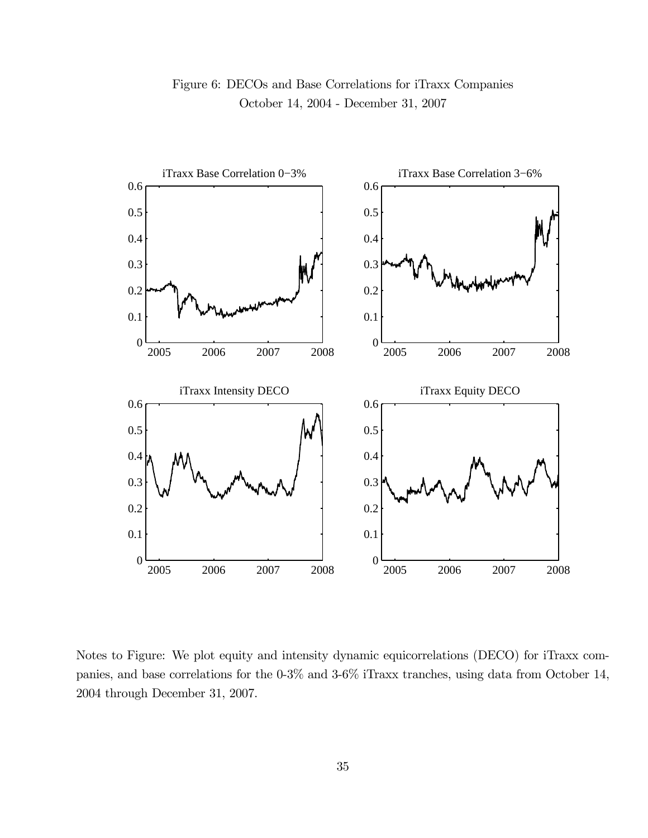

Notes to Figure: We plot equity and intensity dynamic equicorrelations (DECO) for iTraxx companies, and base correlations for the 0-3% and 3-6% iTraxx tranches, using data from October 14, 2004 through December 31, 2007.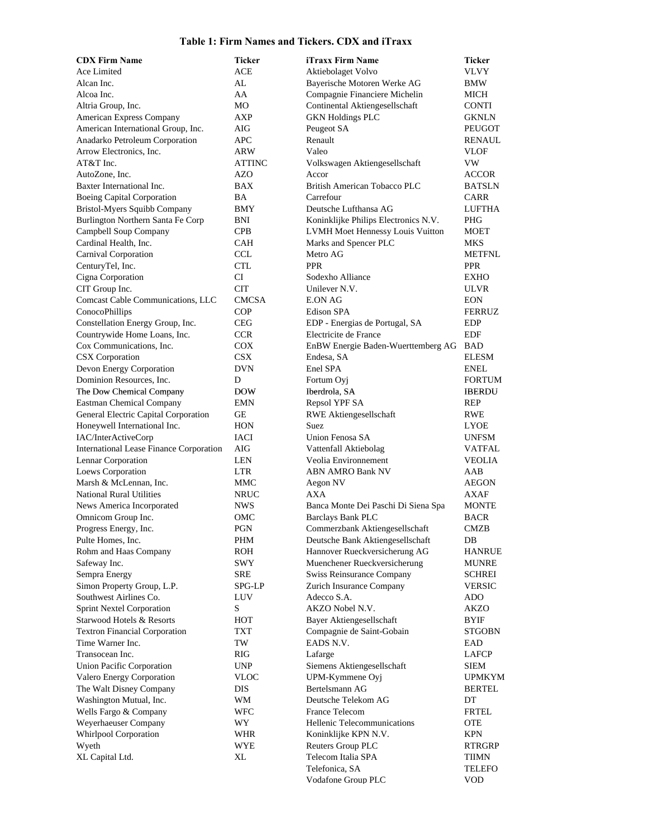#### **Table 1: Firm Names and Tickers. CDX and iTraxx**

| <b>CDX Firm Name</b>                                     | <b>Ticker</b>            | iTraxx Firm Name                                            | <b>Ticker</b>               |
|----------------------------------------------------------|--------------------------|-------------------------------------------------------------|-----------------------------|
| Ace Limited                                              | <b>ACE</b>               | Aktiebolaget Volvo                                          | <b>VLVY</b>                 |
| Alcan Inc.                                               | AL                       | Bayerische Motoren Werke AG                                 | BMW                         |
| Alcoa Inc.                                               | AA                       | Compagnie Financiere Michelin                               | MICH                        |
| Altria Group, Inc.                                       | МO                       | Continental Aktiengesellschaft                              | <b>CONTI</b>                |
| American Express Company                                 | AXP                      | <b>GKN Holdings PLC</b>                                     | <b>GKNLN</b>                |
| American International Group, Inc.                       | AIG                      | Peugeot SA                                                  | PEUGOT                      |
| Anadarko Petroleum Corporation                           | APC                      | Renault                                                     | RENAUL                      |
| Arrow Electronics, Inc.                                  | ARW                      | Valeo                                                       | VLOF                        |
| AT&T Inc.                                                | ATTINC                   | Volkswagen Aktiengesellschaft                               | VW                          |
| AutoZone, Inc.                                           | AZO                      | Accor                                                       | <b>ACCOR</b>                |
| Baxter International Inc.                                | BAX                      | British American Tobacco PLC                                | <b>BATSLN</b>               |
| <b>Boeing Capital Corporation</b>                        | BA                       | Carrefour                                                   | <b>CARR</b>                 |
| Bristol-Myers Squibb Company                             | BMY                      | Deutsche Lufthansa AG                                       | LUFTHA                      |
| Burlington Northern Santa Fe Corp                        | BNI                      | Koninklijke Philips Electronics N.V.                        | PHG                         |
| Campbell Soup Company                                    | <b>CPB</b>               | LVMH Moet Hennessy Louis Vuitton                            | MOET                        |
| Cardinal Health, Inc.                                    | <b>CAH</b>               | Marks and Spencer PLC                                       | MKS                         |
| Carnival Corporation                                     | <b>CCL</b>               | Metro AG                                                    | <b>METFNL</b>               |
| CenturyTel, Inc.                                         | <b>CTL</b>               | <b>PPR</b>                                                  | <b>PPR</b>                  |
| Cigna Corporation                                        | CI<br><b>CIT</b>         | Sodexho Alliance                                            | <b>EXHO</b><br><b>ULVR</b>  |
| CIT Group Inc.                                           |                          | Unilever N.V.                                               |                             |
| Comcast Cable Communications, LLC                        | <b>CMCSA</b>             | <b>E.ON AG</b>                                              | <b>EON</b>                  |
| ConocoPhillips                                           | <b>COP</b>               | <b>Edison SPA</b>                                           | <b>FERRUZ</b>               |
| Constellation Energy Group, Inc.                         | <b>CEG</b>               | EDP - Energias de Portugal, SA                              | <b>EDP</b>                  |
| Countrywide Home Loans, Inc.<br>Cox Communications, Inc. | <b>CCR</b><br><b>COX</b> | Electricite de France<br>EnBW Energie Baden-Wuerttemberg AG | EDF<br><b>BAD</b>           |
| <b>CSX</b> Corporation                                   | CSX                      | Endesa, SA                                                  | <b>ELESM</b>                |
| Devon Energy Corporation                                 | <b>DVN</b>               | Enel SPA                                                    | <b>ENEL</b>                 |
| Dominion Resources, Inc.                                 | D                        | Fortum Oyj                                                  | <b>FORTUM</b>               |
| The Dow Chemical Company                                 | <b>DOW</b>               | Iberdrola, SA                                               | <b>IBERDU</b>               |
| Eastman Chemical Company                                 | EMN                      | Repsol YPF SA                                               | REP                         |
| General Electric Capital Corporation                     | GE                       | RWE Aktiengesellschaft                                      | RWE                         |
| Honeywell International Inc.                             | HON                      | Suez                                                        | <b>LYOE</b>                 |
| IAC/InterActiveCorp                                      | IACI                     | Union Fenosa SA                                             | <b>UNFSM</b>                |
| International Lease Finance Corporation                  | AIG                      | Vattenfall Aktiebolag                                       | VATFAL                      |
| Lennar Corporation                                       | LEN                      | Veolia Environnement                                        | <b>VEOLIA</b>               |
| Loews Corporation                                        | <b>LTR</b>               | <b>ABN AMRO Bank NV</b>                                     | AAB                         |
| Marsh & McLennan, Inc.                                   | MMC                      | Aegon NV                                                    | <b>AEGON</b>                |
| <b>National Rural Utilities</b>                          | <b>NRUC</b>              | <b>AXA</b>                                                  | AXAF                        |
| News America Incorporated                                | <b>NWS</b>               | Banca Monte Dei Paschi Di Siena Spa                         | MONTE                       |
| Omnicom Group Inc.                                       | OMC                      | <b>Barclays Bank PLC</b>                                    | BACR                        |
| Progress Energy, Inc.                                    | PGN                      | Commerzbank Aktiengesellschaft                              | <b>CMZB</b>                 |
| Pulte Homes, Inc.                                        | PHM                      | Deutsche Bank Aktiengesellschaft                            | DB                          |
| Rohm and Haas Company                                    | <b>ROH</b>               | Hannover Rueckversicherung AG                               | <b>HANRUE</b>               |
| Safeway Inc.                                             | SWY                      | Muenchener Rueckversicherung                                | MUNRE                       |
| Sempra Energy                                            | SRE                      | Swiss Reinsurance Company                                   | <b>SCHREI</b>               |
| Simon Property Group, L.P.                               | SPG-LP                   | Zurich Insurance Company                                    | <b>VERSIC</b>               |
| Southwest Airlines Co.                                   | LUV                      | Adecco S.A.                                                 | ADO                         |
| <b>Sprint Nextel Corporation</b>                         | S                        | AKZO Nobel N.V.                                             | <b>AKZO</b>                 |
| Starwood Hotels & Resorts                                | HOT                      | Bayer Aktiengesellschaft                                    | BYIF                        |
| <b>Textron Financial Corporation</b>                     | TXT                      | Compagnie de Saint-Gobain                                   | <b>STGOBN</b>               |
| Time Warner Inc.                                         | TW                       | EADS N.V.                                                   | EAD                         |
| Transocean Inc.                                          | RIG                      | Lafarge                                                     | LAFCP                       |
| Union Pacific Corporation                                | <b>UNP</b>               | Siemens Aktiengesellschaft                                  | SIEM                        |
| Valero Energy Corporation                                | VLOC                     | UPM-Kymmene Oyj                                             | UPMKYM                      |
| The Walt Disney Company                                  | DIS                      | Bertelsmann AG                                              | <b>BERTEL</b>               |
| Washington Mutual, Inc.                                  | WM                       | Deutsche Telekom AG                                         | DT                          |
| Wells Fargo & Company                                    | <b>WFC</b>               | France Telecom                                              | <b>FRTEL</b>                |
| Weyerhaeuser Company                                     | WY                       | Hellenic Telecommunications                                 | <b>OTE</b>                  |
| Whirlpool Corporation                                    | WHR                      | Koninklijke KPN N.V.                                        | <b>KPN</b>                  |
| Wyeth                                                    | WYE                      | Reuters Group PLC                                           | RTRGRP                      |
| XL Capital Ltd.                                          | XL                       | Telecom Italia SPA                                          | TIIMN                       |
|                                                          |                          | Telefonica, SA                                              | <b>TELEFO</b><br><b>VOD</b> |
|                                                          |                          | Vodafone Group PLC                                          |                             |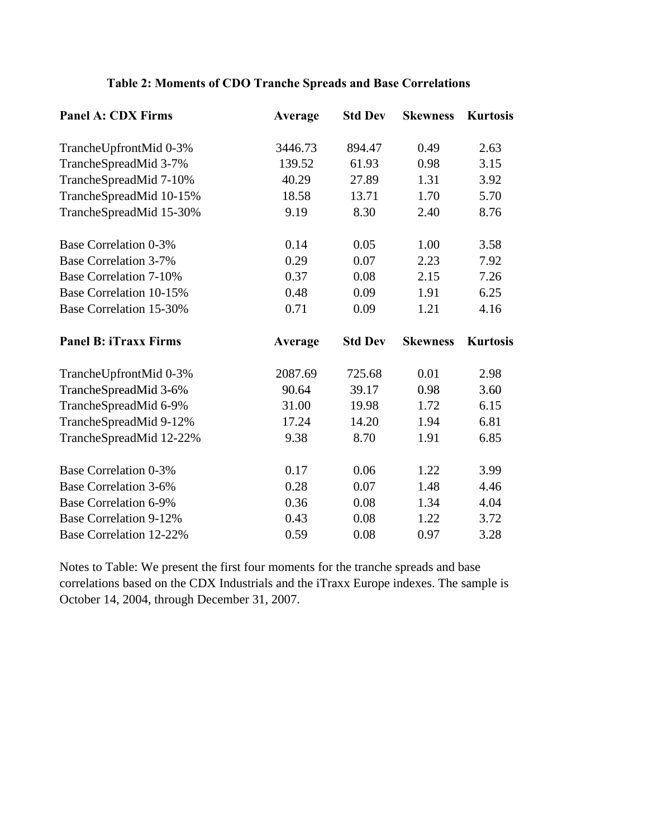| <b>Panel A: CDX Firms</b>      | Average | <b>Std Dev</b> | <b>Skewness</b> | <b>Kurtosis</b> |
|--------------------------------|---------|----------------|-----------------|-----------------|
| TrancheUpfrontMid 0-3%         | 3446.73 | 894.47         | 0.49            | 2.63            |
| TrancheSpreadMid 3-7%          | 139.52  | 61.93          | 0.98            | 3.15            |
| TrancheSpreadMid 7-10%         | 40.29   | 27.89          | 1.31            | 3.92            |
| TrancheSpreadMid 10-15%        | 18.58   | 13.71          | 1.70            | 5.70            |
| TrancheSpreadMid 15-30%        | 9.19    | 8.30           | 2.40            | 8.76            |
| <b>Base Correlation 0-3%</b>   | 0.14    | 0.05           | 1.00            | 3.58            |
| <b>Base Correlation 3-7%</b>   | 0.29    | 0.07           | 2.23            | 7.92            |
| <b>Base Correlation 7-10%</b>  | 0.37    | 0.08           | 2.15            | 7.26            |
| <b>Base Correlation 10-15%</b> | 0.48    | 0.09           | 1.91            | 6.25            |
| <b>Base Correlation 15-30%</b> | 0.71    | 0.09           | 1.21            | 4.16            |
| <b>Panel B: iTraxx Firms</b>   | Average | <b>Std Dev</b> | <b>Skewness</b> | <b>Kurtosis</b> |
| TrancheUpfrontMid 0-3%         | 2087.69 | 725.68         | 0.01            | 2.98            |
| TrancheSpreadMid 3-6%          | 90.64   | 39.17          | 0.98            | 3.60            |
| TrancheSpreadMid 6-9%          | 31.00   | 19.98          | 1.72            | 6.15            |
| TrancheSpreadMid 9-12%         | 17.24   | 14.20          | 1.94            | 6.81            |
| TrancheSpreadMid 12-22%        | 9.38    | 8.70           | 1.91            | 6.85            |
| <b>Base Correlation 0-3%</b>   | 0.17    | 0.06           | 1.22            | 3.99            |
| <b>Base Correlation 3-6%</b>   | 0.28    | 0.07           | 1.48            | 4.46            |
| <b>Base Correlation 6-9%</b>   | 0.36    | 0.08           | 1.34            | 4.04            |
| <b>Base Correlation 9-12%</b>  | 0.43    | 0.08           | 1.22            | 3.72            |
| <b>Base Correlation 12-22%</b> | 0.59    | 0.08           | 0.97            | 3.28            |

## **Table 2: Moments of CDO Tranche Spreads and Base Correlations**

Notes to Table: We present the first four moments for the tranche spreads and base correlations based on the CDX Industrials and the iTraxx Europe indexes. The sample is October 14, 2004, through December 31, 2007.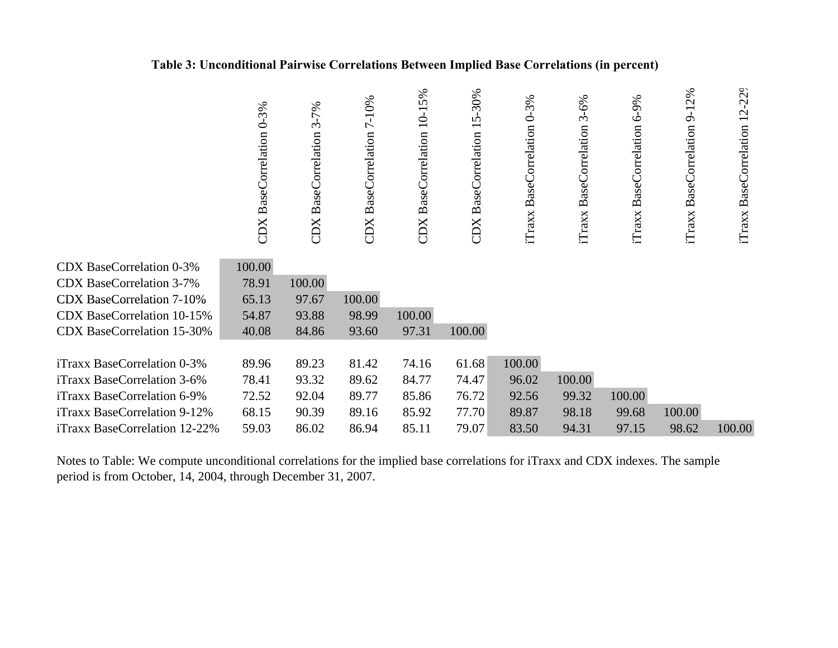### **Table 3: Unconditional Pairwise Correlations Between Implied Base Correlations (in percent)**

|                                   | CDX BaseCorrelation 0-3% | $3 - 7%$<br><b>CDX</b> BaseCorrelation | 7-10%<br><b>BaseCorrelation</b><br>CDX | 10-15%<br><b>BaseCorrelation</b><br>CDX | $-30%$<br>ŋ<br>$\overline{\phantom{0}}$<br>CDX BaseCorrelation | iTraxx BaseCorrelation 0-3% | $3 - 6%$<br>iTraxx BaseCorrelation | 6-9%<br><b>BaseCorrelation</b><br>iTraxx | 2%<br>$\overline{9}$<br><b>BaseCorrelation</b><br>iTraxx | iTraxx BaseCorrelation 12-229 |
|-----------------------------------|--------------------------|----------------------------------------|----------------------------------------|-----------------------------------------|----------------------------------------------------------------|-----------------------------|------------------------------------|------------------------------------------|----------------------------------------------------------|-------------------------------|
| <b>CDX BaseCorrelation 0-3%</b>   | 100.00                   |                                        |                                        |                                         |                                                                |                             |                                    |                                          |                                                          |                               |
| <b>CDX BaseCorrelation 3-7%</b>   | 78.91                    | 100.00                                 |                                        |                                         |                                                                |                             |                                    |                                          |                                                          |                               |
| <b>CDX BaseCorrelation 7-10%</b>  | 65.13                    | 97.67                                  | 100.00                                 |                                         |                                                                |                             |                                    |                                          |                                                          |                               |
| <b>CDX BaseCorrelation 10-15%</b> | 54.87                    | 93.88                                  | 98.99                                  | 100.00                                  |                                                                |                             |                                    |                                          |                                                          |                               |
| <b>CDX BaseCorrelation 15-30%</b> | 40.08                    | 84.86                                  | 93.60                                  | 97.31                                   | 100.00                                                         |                             |                                    |                                          |                                                          |                               |
|                                   |                          |                                        |                                        |                                         |                                                                |                             |                                    |                                          |                                                          |                               |
| iTraxx BaseCorrelation 0-3%       | 89.96                    | 89.23                                  | 81.42                                  | 74.16                                   | 61.68                                                          | 100.00                      |                                    |                                          |                                                          |                               |
| iTraxx BaseCorrelation 3-6%       | 78.41                    | 93.32                                  | 89.62                                  | 84.77                                   | 74.47                                                          | 96.02                       | 100.00                             |                                          |                                                          |                               |
| iTraxx BaseCorrelation 6-9%       | 72.52                    | 92.04                                  | 89.77                                  | 85.86                                   | 76.72                                                          | 92.56                       | 99.32                              | 100.00                                   |                                                          |                               |
| iTraxx BaseCorrelation 9-12%      | 68.15                    | 90.39                                  | 89.16                                  | 85.92                                   | 77.70                                                          | 89.87                       | 98.18                              | 99.68                                    | 100.00                                                   |                               |
| iTraxx BaseCorrelation 12-22%     | 59.03                    | 86.02                                  | 86.94                                  | 85.11                                   | 79.07                                                          | 83.50                       | 94.31                              | 97.15                                    | 98.62                                                    | 100.00                        |

Notes to Table: We compute unconditional correlations for the implied base correlations for iTraxx and CDX indexes. The sample period is from October, 14, 2004, through December 31, 2007.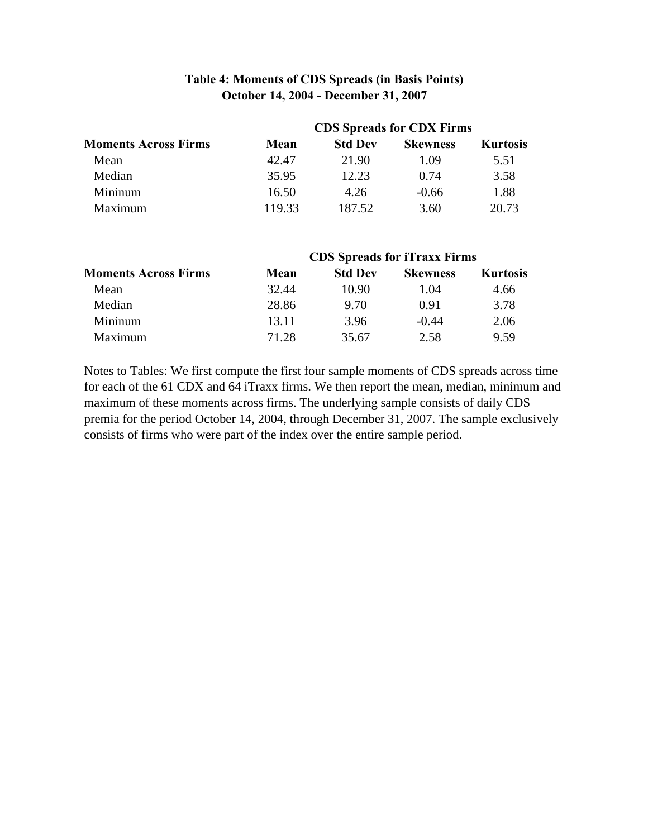## **Table 4: Moments of CDS Spreads (in Basis Points) October 14, 2004 - December 31, 2007**

|                             | <b>CDS</b> Spreads for CDX Firms |                |                 |                 |  |  |  |
|-----------------------------|----------------------------------|----------------|-----------------|-----------------|--|--|--|
| <b>Moments Across Firms</b> | Mean                             | <b>Std Dev</b> | <b>Skewness</b> | <b>Kurtosis</b> |  |  |  |
| Mean                        | 42.47                            | 21.90          | 1.09            | 5.51            |  |  |  |
| Median                      | 35.95                            | 12.23          | 0.74            | 3.58            |  |  |  |
| Mininum                     | 16.50                            | 4.26           | $-0.66$         | 1.88            |  |  |  |
| Maximum                     | 119.33                           | 187.52         | 3.60            | 20.73           |  |  |  |

|                             | <b>CDS</b> Spreads for <i>iTraxx</i> Firms |                |                 |                 |  |  |  |
|-----------------------------|--------------------------------------------|----------------|-----------------|-----------------|--|--|--|
| <b>Moments Across Firms</b> | Mean                                       | <b>Std Dev</b> | <b>Skewness</b> | <b>Kurtosis</b> |  |  |  |
| Mean                        | 32.44                                      | 10.90          | 1.04            | 4.66            |  |  |  |
| Median                      | 28.86                                      | 9.70           | 0.91            | 3.78            |  |  |  |
| Mininum                     | 13.11                                      | 3.96           | $-0.44$         | 2.06            |  |  |  |
| Maximum                     | 71.28                                      | 35.67          | 2.58            | 9.59            |  |  |  |

Notes to Tables: We first compute the first four sample moments of CDS spreads across time for each of the 61 CDX and 64 iTraxx firms. We then report the mean, median, minimum and for each of the 61 CDX and 64 iTraxx firms. We then report the mean, median, minimum and maximum of these moments across firms. The underlying sample consists of daily CDS premia for the period October 14, 2004, through December 31, 2007. The sample exclusively consists of firms who were part of the index over the entire sample period.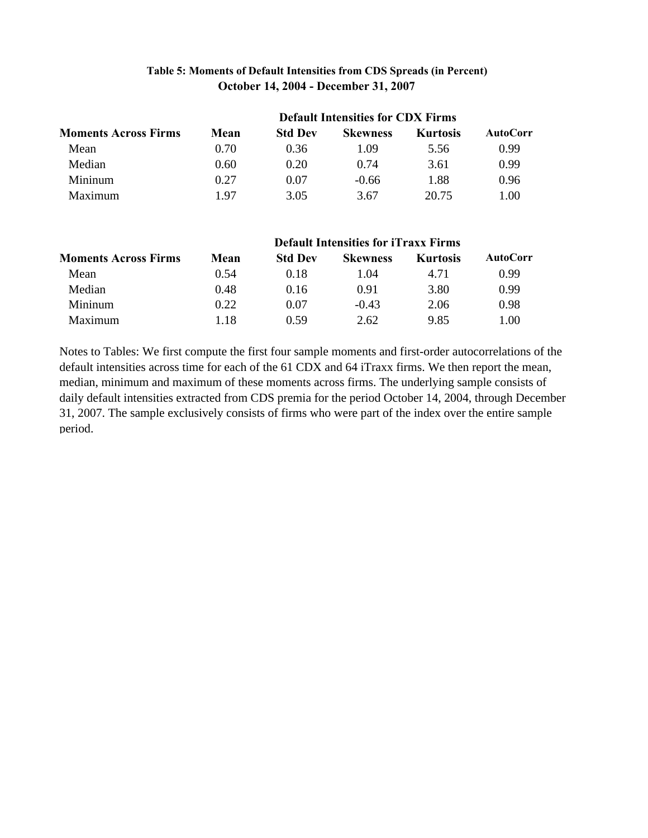### **Table 5: Moments of Default Intensities from CDS Spreads (in Percent) October 14, 2004 - December 31, 2007**

| <b>Moments Across Firms</b> |      |                |                 |                 |                 |
|-----------------------------|------|----------------|-----------------|-----------------|-----------------|
|                             | Mean | <b>Std Dev</b> | <b>Skewness</b> | <b>Kurtosis</b> | <b>AutoCorr</b> |
| Mean                        | 0.70 | 0.36           | 1.09            | 5.56            | 0.99            |
| Median                      | 0.60 | 0.20           | 0.74            | 3.61            | 0.99            |
| Mininum                     | 0.27 | 0.07           | $-0.66$         | 1.88            | 0.96            |
| Maximum                     | 197  | 3.05           | 3.67            | 20.75           | 1.00            |

| <b>Moments Across Firms</b> |      |                |                 | <b>Default Intensities for iTraxx Firms</b> |                 |  |
|-----------------------------|------|----------------|-----------------|---------------------------------------------|-----------------|--|
|                             | Mean | <b>Std Dev</b> | <b>Skewness</b> | <b>Kurtosis</b>                             | <b>AutoCorr</b> |  |
| Mean                        | 0.54 | 0.18           | 1.04            | 4.71                                        | 0.99            |  |
| Median                      | 0.48 | 0.16           | 0.91            | 3.80                                        | 0.99            |  |
| Mininum                     | 0.22 | 0.07           | $-0.43$         | 2.06                                        | 0.98            |  |
| Maximum                     | 1.18 | 0.59           | 2.62            | 9.85                                        | 1.00            |  |

Notes to Tables: We first compute the first four sample moments and first-order autocorrelations of the default intensities across time for each of the 61 CDX and 64 iTraxx firms. We then report the mean, median, minimum and maximum of these moments across firms. The underlying sample consists of daily default intensities extracted from CDS premia for the period October 14, 2004, through December 31, 2007. The sample exclusively consists of firms who were part of the index over the entire sample period.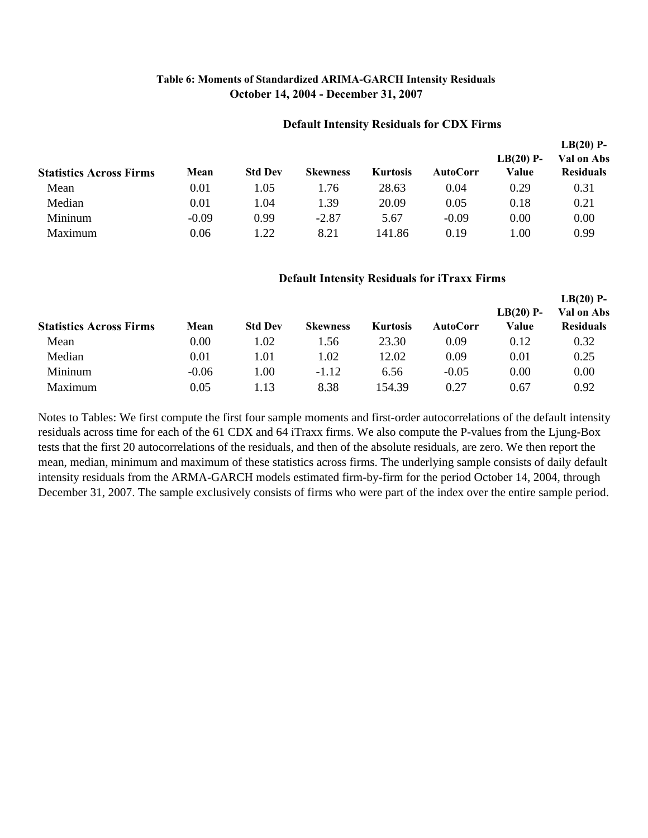### **Table 6: Moments of Standardized ARIMA-GARCH Intensity Residuals October 14, 2004 - December 31, 2007**

#### **Default Intensity Residuals for CDX Firms**

|                                |         |                  |                 |                 |          |                      | $LB(20)$ P-                    |  |
|--------------------------------|---------|------------------|-----------------|-----------------|----------|----------------------|--------------------------------|--|
| <b>Statistics Across Firms</b> | Mean    | <b>Std Dev</b>   | <b>Skewness</b> | <b>Kurtosis</b> | AutoCorr | $LB(20)$ P-<br>Value | Val on Abs<br><b>Residuals</b> |  |
| Mean                           | 0.01    | l.05             | 1.76            | 28.63           | 0.04     | 0.29                 | 0.31                           |  |
| Median                         | 0.01    | L.O4             | 1.39            | 20.09           | 0.05     | 0.18                 | 0.21                           |  |
| Mininum                        | $-0.09$ | 0.99             | $-2.87$         | 5.67            | $-0.09$  | 0.00                 | 0.00                           |  |
| Maximum                        | 0.06    | $\overline{.22}$ | 8.21            | 141.86          | 0.19     | 1.00                 | 0.99                           |  |

#### **Default Intensity Residuals for iTraxx Firms**

| <b>Statistics Across Firms</b> | Mean    | <b>Std Dev</b> | <b>Skewness</b> | <b>Kurtosis</b> | <b>AutoCorr</b> | $LB(20)$ P-<br>Value | $LB(20)$ P-<br>Val on Abs<br><b>Residuals</b> |
|--------------------------------|---------|----------------|-----------------|-----------------|-----------------|----------------------|-----------------------------------------------|
| Mean                           | 0.00    | 1.02           | 1.56            | 23.30           | 0.09            | 0.12                 | 0.32                                          |
| Median                         | 0.01    | 1.01           | 1.02            | 12.02           | 0.09            | 0.01                 | 0.25                                          |
| Mininum                        | $-0.06$ | 1.00           | $-1.12$         | 6.56            | $-0.05$         | 0.00                 | 0.00                                          |
| Maximum                        | 0.05    | l.13           | 8.38            | 154.39          | 0.27            | 0.67                 | 0.92                                          |

Notes to Tables: We first compute the first four sample moments and first-order autocorrelations of the default intensity residuals across time for each of the 61 CDX and 64 iTraxx firms. We also compute the P-values from the Ljung-Box tests that the first 20 autocorrelations of the residuals, and then of the absolute residuals, are zero. We then report the mean, median, minimum and maximum of these statistics across firms. The underlying sample consists of daily default intensity residuals from the ARMA-GARCH models estimated firm-by-firm for the period October 14, 2004, through December 31, 2007. The sample exclusively consists of firms who were part of the index over the entire sample period.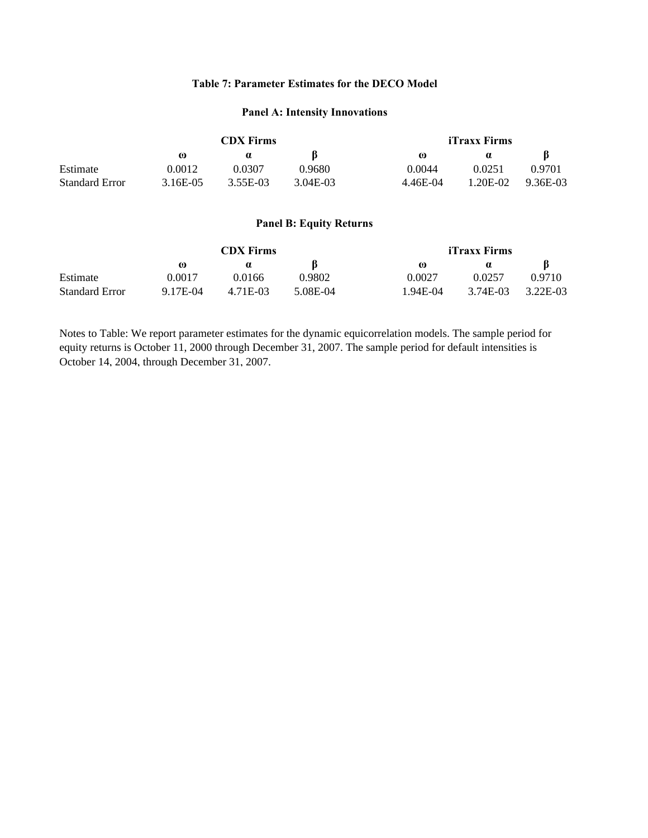#### **Table 7: Parameter Estimates for the DECO Model**

#### **Panel A: Intensity Innovations**

| <b>CDX</b> Firms |          |            | iTraxx Firms |            |          |  |
|------------------|----------|------------|--------------|------------|----------|--|
| $\omega$         | $\alpha$ |            | $\omega$     | $\alpha$   |          |  |
| 0.0012           | 0.0307   | 0.9680     | 0.0044       | 0.0251     | 0.9701   |  |
| 3.16E-05         | 3.55E-03 | $3.04E-03$ | 4.46E-04     | $1.20E-02$ | 9.36E-03 |  |
|                  |          |            |              |            |          |  |

#### **Panel B: Equity Returns**

|                       | <b>CDX</b> Firms |          |          | iTraxx Firms |          |          |  |
|-----------------------|------------------|----------|----------|--------------|----------|----------|--|
|                       | $\omega$         |          |          | $\omega$     |          |          |  |
| Estimate              | 0.0017           | 0.0166   | 0.9802   | 0.0027       | 0.0257   | 0.9710   |  |
| <b>Standard Error</b> | 9.17E-04         | 4.71E-03 | 5.08E-04 | L94E-04      | 3.74E-03 | 3.22E-03 |  |

Notes to Table: We report parameter estimates for the dynamic equicorrelation models. The sample period for equity returns is October 11, 2000 through December 31, 2007. The sample period for default intensities is October 14, 2004, through December 31, 2007.